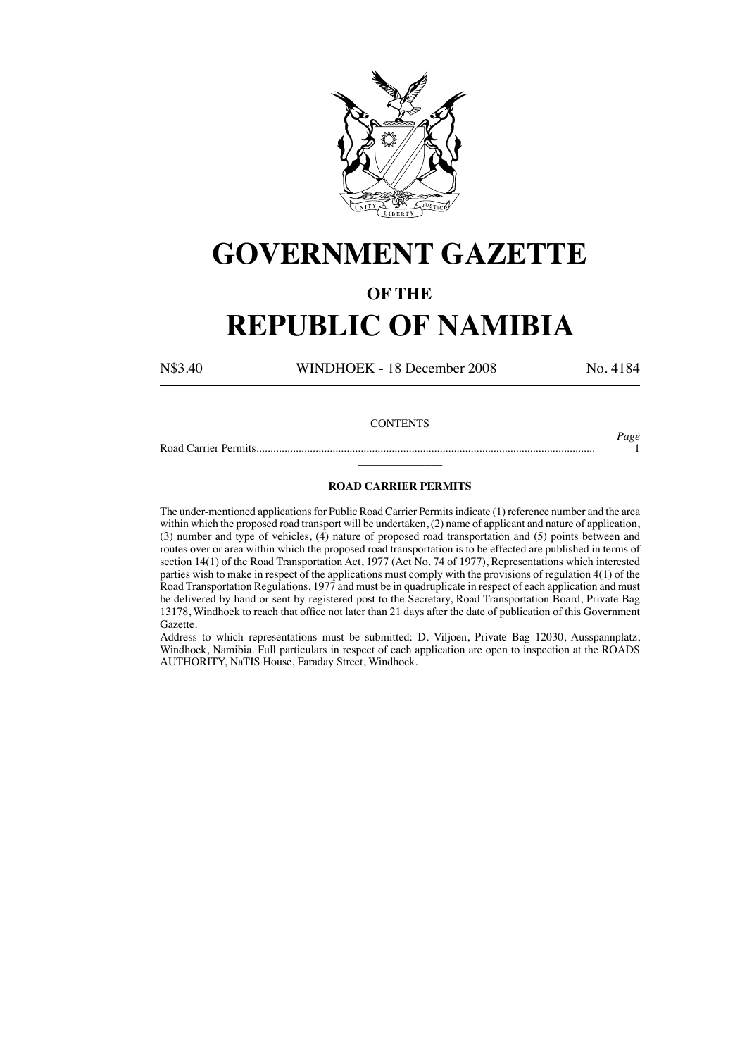

# **GOVERNMENT GAZETTE**

### **OF THE**

## **REPUBLIC OF NAMIBIA**

N\$3.40 WINDHOEK - 18 December 2008 No. 4184

#### **CONTENTS**

Road Carrier Permits........................................................................................................................ 1

*Page*

## $\overline{\phantom{a}}$ **ROAD CARRIER PERMITS**

The under-mentioned applications for Public Road Carrier Permits indicate (1) reference number and the area within which the proposed road transport will be undertaken, (2) name of applicant and nature of application, (3) number and type of vehicles, (4) nature of proposed road transportation and (5) points between and routes over or area within which the proposed road transportation is to be effected are published in terms of section 14(1) of the Road Transportation Act, 1977 (Act No. 74 of 1977), Representations which interested parties wish to make in respect of the applications must comply with the provisions of regulation 4(1) of the Road Transportation Regulations, 1977 and must be in quadruplicate in respect of each application and must be delivered by hand or sent by registered post to the Secretary, Road Transportation Board, Private Bag 13178, Windhoek to reach that office not later than 21 days after the date of publication of this Government Gazette.

Address to which representations must be submitted: D. Viljoen, Private Bag 12030, Ausspannplatz, Windhoek, Namibia. Full particulars in respect of each application are open to inspection at the ROADS AUTHORITY, NaTIS House, Faraday Street, Windhoek.

 $\overline{\phantom{a}}$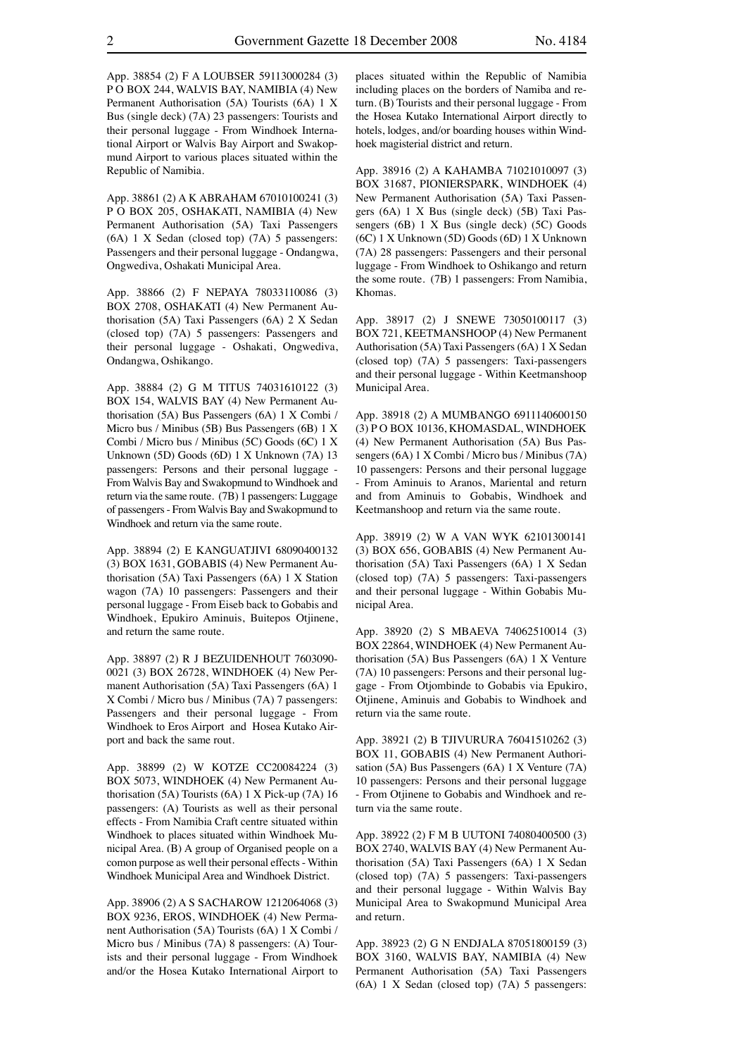App. 38854 (2) F A LOUBSER 59113000284 (3) P O BOX 244, WALVIS BAY, NAMIBIA (4) New Permanent Authorisation (5A) Tourists (6A) 1 X Bus (single deck) (7A) 23 passengers: Tourists and their personal luggage - From Windhoek International Airport or Walvis Bay Airport and Swakopmund Airport to various places situated within the Republic of Namibia.

App. 38861 (2) A K ABRAHAM 67010100241 (3) P O BOX 205, OSHAKATI, NAMIBIA (4) New Permanent Authorisation (5A) Taxi Passengers (6A) 1 X Sedan (closed top) (7A) 5 passengers: Passengers and their personal luggage - Ondangwa, Ongwediva, Oshakati Municipal Area.

App. 38866 (2) F NEPAYA 78033110086 (3) BOX 2708, OSHAKATI (4) New Permanent Authorisation (5A) Taxi Passengers (6A) 2 X Sedan (closed top) (7A) 5 passengers: Passengers and their personal luggage - Oshakati, Ongwediva, Ondangwa, Oshikango.

App. 38884 (2) G M TITUS 74031610122 (3) BOX 154, WALVIS BAY (4) New Permanent Authorisation (5A) Bus Passengers (6A) 1 X Combi / Micro bus / Minibus (5B) Bus Passengers (6B) 1 X Combi / Micro bus / Minibus (5C) Goods (6C) 1 X Unknown (5D) Goods (6D) 1 X Unknown (7A) 13 passengers: Persons and their personal luggage - From Walvis Bay and Swakopmund to Windhoek and return via the same route. (7B) 1 passengers: Luggage of passengers - From Walvis Bay and Swakopmund to Windhoek and return via the same route.

App. 38894 (2) E KANGUATJIVI 68090400132 (3) BOX 1631, GOBABIS (4) New Permanent Authorisation (5A) Taxi Passengers (6A) 1 X Station wagon (7A) 10 passengers: Passengers and their personal luggage - From Eiseb back to Gobabis and Windhoek, Epukiro Aminuis, Buitepos Otjinene, and return the same route.

App. 38897 (2) R J BEZUIDENHOUT 7603090- 0021 (3) BOX 26728, WINDHOEK (4) New Permanent Authorisation (5A) Taxi Passengers (6A) 1 X Combi / Micro bus / Minibus (7A) 7 passengers: Passengers and their personal luggage - From Windhoek to Eros Airport and Hosea Kutako Airport and back the same rout.

App. 38899 (2) W KOTZE CC20084224 (3) BOX 5073, WINDHOEK (4) New Permanent Authorisation (5A) Tourists (6A) 1 X Pick-up (7A) 16 passengers: (A) Tourists as well as their personal effects - From Namibia Craft centre situated within Windhoek to places situated within Windhoek Municipal Area. (B) A group of Organised people on a comon purpose as well their personal effects - Within Windhoek Municipal Area and Windhoek District.

App. 38906 (2) A S SACHAROW 1212064068 (3) BOX 9236, EROS, WINDHOEK (4) New Permanent Authorisation (5A) Tourists (6A) 1 X Combi / Micro bus / Minibus (7A) 8 passengers: (A) Tourists and their personal luggage - From Windhoek and/or the Hosea Kutako International Airport to

places situated within the Republic of Namibia including places on the borders of Namiba and return. (B) Tourists and their personal luggage - From the Hosea Kutako International Airport directly to hotels, lodges, and/or boarding houses within Windhoek magisterial district and return.

App. 38916 (2) A KAHAMBA 71021010097 (3) BOX 31687, PIONIERSPARK, WINDHOEK (4) New Permanent Authorisation (5A) Taxi Passengers (6A) 1 X Bus (single deck) (5B) Taxi Passengers (6B) 1 X Bus (single deck) (5C) Goods (6C) 1 X Unknown (5D) Goods (6D) 1 X Unknown (7A) 28 passengers: Passengers and their personal luggage - From Windhoek to Oshikango and return the some route. (7B) 1 passengers: From Namibia, Khomas.

App. 38917 (2) J SNEWE 73050100117 (3) BOX 721, KEETMANSHOOP (4) New Permanent Authorisation (5A) Taxi Passengers (6A) 1 X Sedan (closed top) (7A) 5 passengers: Taxi-passengers and their personal luggage - Within Keetmanshoop Municipal Area.

App. 38918 (2) A MUMBANGO 6911140600150 (3) P O BOX 10136, KHOMASDAL, WINDHOEK (4) New Permanent Authorisation (5A) Bus Passengers (6A) 1 X Combi / Micro bus / Minibus (7A) 10 passengers: Persons and their personal luggage - From Aminuis to Aranos, Mariental and return and from Aminuis to Gobabis, Windhoek and Keetmanshoop and return via the same route.

App. 38919 (2) W A VAN WYK 62101300141 (3) BOX 656, GOBABIS (4) New Permanent Authorisation (5A) Taxi Passengers (6A) 1 X Sedan (closed top) (7A) 5 passengers: Taxi-passengers and their personal luggage - Within Gobabis Municipal Area.

App. 38920 (2) S MBAEVA 74062510014 (3) BOX 22864, WINDHOEK (4) New Permanent Authorisation (5A) Bus Passengers (6A) 1 X Venture (7A) 10 passengers: Persons and their personal luggage - From Otjombinde to Gobabis via Epukiro, Otiinene, Aminuis and Gobabis to Windhoek and return via the same route.

App. 38921 (2) B TJIVURURA 76041510262 (3) BOX 11, GOBABIS (4) New Permanent Authorisation (5A) Bus Passengers (6A) 1 X Venture (7A) 10 passengers: Persons and their personal luggage - From Otjinene to Gobabis and Windhoek and return via the same route.

App. 38922 (2) F M B UUTONI 74080400500 (3) BOX 2740, WALVIS BAY (4) New Permanent Authorisation (5A) Taxi Passengers (6A) 1 X Sedan (closed top) (7A) 5 passengers: Taxi-passengers and their personal luggage - Within Walvis Bay Municipal Area to Swakopmund Municipal Area and return.

App. 38923 (2) G N ENDJALA 87051800159 (3) BOX 3160, WALVIS BAY, NAMIBIA (4) New Permanent Authorisation (5A) Taxi Passengers (6A) 1 X Sedan (closed top) (7A) 5 passengers: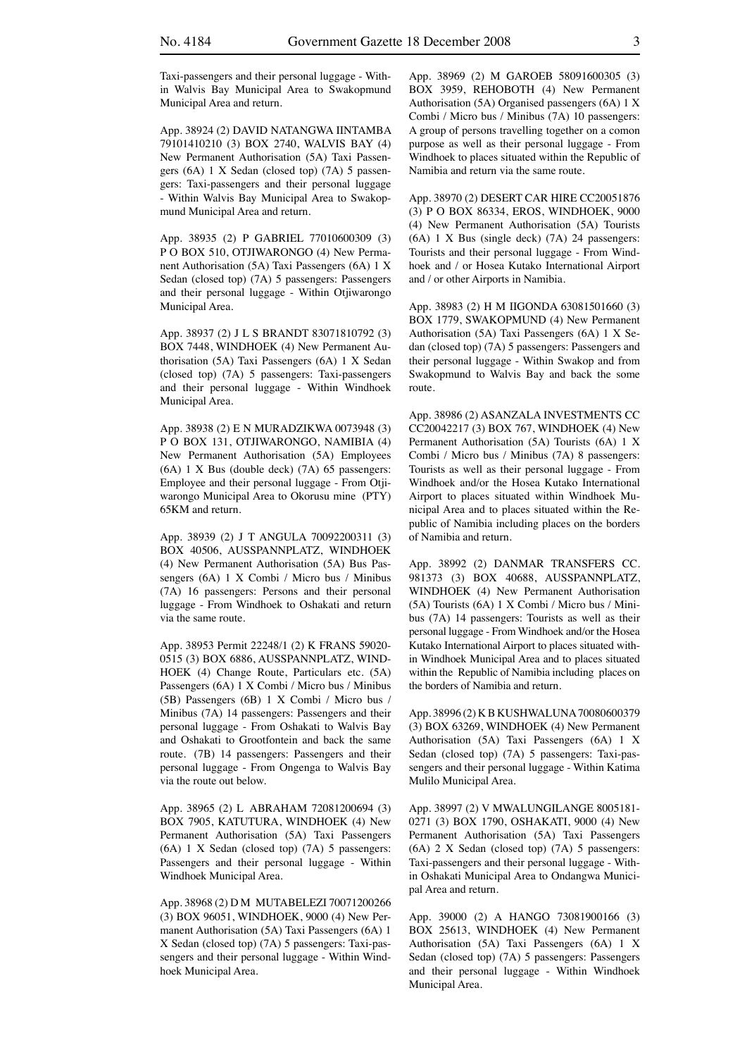Taxi-passengers and their personal luggage - Within Walvis Bay Municipal Area to Swakopmund Municipal Area and return.

App. 38924 (2) DAVID NATANGWA IINTAMBA 79101410210 (3) BOX 2740, WALVIS BAY (4) New Permanent Authorisation (5A) Taxi Passengers (6A) 1 X Sedan (closed top) (7A) 5 passengers: Taxi-passengers and their personal luggage - Within Walvis Bay Municipal Area to Swakopmund Municipal Area and return.

App. 38935 (2) P GABRIEL 77010600309 (3) P O BOX 510, OTJIWARONGO (4) New Permanent Authorisation (5A) Taxi Passengers (6A) 1 X Sedan (closed top) (7A) 5 passengers: Passengers and their personal luggage - Within Otjiwarongo Municipal Area.

App. 38937 (2) J L S BRANDT 83071810792 (3) BOX 7448, WINDHOEK (4) New Permanent Authorisation (5A) Taxi Passengers (6A) 1 X Sedan (closed top) (7A) 5 passengers: Taxi-passengers and their personal luggage - Within Windhoek Municipal Area.

App. 38938 (2) E N MURADZIKWA 0073948 (3) P O BOX 131, OTJIWARONGO, NAMIBIA (4) New Permanent Authorisation (5A) Employees (6A) 1 X Bus (double deck) (7A) 65 passengers: Employee and their personal luggage - From Otjiwarongo Municipal Area to Okorusu mine (PTY) 65KM and return.

App. 38939 (2) J T ANGULA 70092200311 (3) BOX 40506, AUSSPANNPLATZ, WINDHOEK (4) New Permanent Authorisation (5A) Bus Passengers (6A) 1 X Combi / Micro bus / Minibus (7A) 16 passengers: Persons and their personal luggage - From Windhoek to Oshakati and return via the same route.

App. 38953 Permit 22248/1 (2) K FRANS 59020- 0515 (3) BOX 6886, AUSSPANNPLATZ, WIND-HOEK (4) Change Route, Particulars etc. (5A) Passengers (6A) 1 X Combi / Micro bus / Minibus (5B) Passengers (6B) 1 X Combi / Micro bus / Minibus (7A) 14 passengers: Passengers and their personal luggage - From Oshakati to Walvis Bay and Oshakati to Grootfontein and back the same route. (7B) 14 passengers: Passengers and their personal luggage - From Ongenga to Walvis Bay via the route out below.

App. 38965 (2) L ABRAHAM 72081200694 (3) BOX 7905, KATUTURA, WINDHOEK (4) New Permanent Authorisation (5A) Taxi Passengers (6A) 1 X Sedan (closed top) (7A) 5 passengers: Passengers and their personal luggage - Within Windhoek Municipal Area.

App. 38968 (2) D M MUTABELEZI 70071200266 (3) BOX 96051, WINDHOEK, 9000 (4) New Permanent Authorisation (5A) Taxi Passengers (6A) 1 X Sedan (closed top) (7A) 5 passengers: Taxi-passengers and their personal luggage - Within Windhoek Municipal Area.

App. 38969 (2) M GAROEB 58091600305 (3) BOX 3959, REHOBOTH (4) New Permanent Authorisation (5A) Organised passengers (6A) 1 X Combi / Micro bus / Minibus (7A) 10 passengers: A group of persons travelling together on a comon purpose as well as their personal luggage - From Windhoek to places situated within the Republic of Namibia and return via the same route.

App. 38970 (2) DESERT CAR HIRE CC20051876 (3) P O BOX 86334, EROS, WINDHOEK, 9000 (4) New Permanent Authorisation (5A) Tourists (6A) 1 X Bus (single deck) (7A) 24 passengers: Tourists and their personal luggage - From Windhoek and / or Hosea Kutako International Airport and / or other Airports in Namibia.

App. 38983 (2) H M IIGONDA 63081501660 (3) BOX 1779, SWAKOPMUND (4) New Permanent Authorisation (5A) Taxi Passengers (6A) 1 X Sedan (closed top) (7A) 5 passengers: Passengers and their personal luggage - Within Swakop and from Swakopmund to Walvis Bay and back the some route.

App. 38986 (2) ASANZALA INVESTMENTS CC CC20042217 (3) BOX 767, WINDHOEK (4) New Permanent Authorisation (5A) Tourists (6A) 1 X Combi / Micro bus / Minibus (7A) 8 passengers: Tourists as well as their personal luggage - From Windhoek and/or the Hosea Kutako International Airport to places situated within Windhoek Municipal Area and to places situated within the Republic of Namibia including places on the borders of Namibia and return.

App. 38992 (2) DANMAR TRANSFERS CC. 981373 (3) BOX 40688, AUSSPANNPLATZ, WINDHOEK (4) New Permanent Authorisation (5A) Tourists (6A) 1 X Combi / Micro bus / Minibus (7A) 14 passengers: Tourists as well as their personal luggage - From Windhoek and/or the Hosea Kutako International Airport to places situated within Windhoek Municipal Area and to places situated within the Republic of Namibia including places on the borders of Namibia and return.

App. 38996 (2) K B KUSHWALUNA 70080600379 (3) BOX 63269, WINDHOEK (4) New Permanent Authorisation (5A) Taxi Passengers (6A) 1 X Sedan (closed top) (7A) 5 passengers: Taxi-passengers and their personal luggage - Within Katima Mulilo Municipal Area.

App. 38997 (2) V MWALUNGILANGE 8005181- 0271 (3) BOX 1790, OSHAKATI, 9000 (4) New Permanent Authorisation (5A) Taxi Passengers (6A) 2 X Sedan (closed top) (7A) 5 passengers: Taxi-passengers and their personal luggage - Within Oshakati Municipal Area to Ondangwa Municipal Area and return.

App. 39000 (2) A HANGO 73081900166 (3) BOX 25613, WINDHOEK (4) New Permanent Authorisation (5A) Taxi Passengers (6A) 1 X Sedan (closed top) (7A) 5 passengers: Passengers and their personal luggage - Within Windhoek Municipal Area.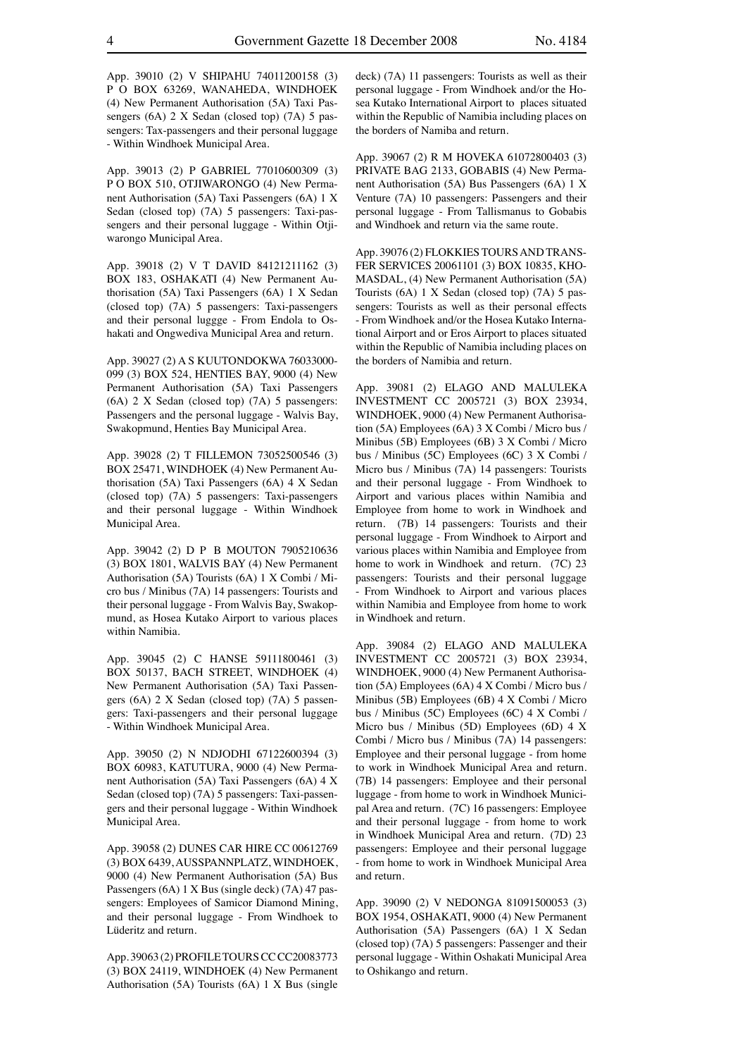App. 39010 (2) V SHIPAHU 74011200158 (3) P O BOX 63269, WANAHEDA, WINDHOEK (4) New Permanent Authorisation (5A) Taxi Passengers (6A) 2 X Sedan (closed top) (7A) 5 passengers: Tax-passengers and their personal luggage - Within Windhoek Municipal Area.

App. 39013 (2) P GABRIEL 77010600309 (3) P O BOX 510, OTJIWARONGO (4) New Permanent Authorisation (5A) Taxi Passengers (6A) 1 X Sedan (closed top) (7A) 5 passengers: Taxi-passengers and their personal luggage - Within Otjiwarongo Municipal Area.

App. 39018 (2) V T DAVID 84121211162 (3) BOX 183, OSHAKATI (4) New Permanent Authorisation (5A) Taxi Passengers (6A) 1 X Sedan (closed top) (7A) 5 passengers: Taxi-passengers and their personal luggge - From Endola to Oshakati and Ongwediva Municipal Area and return.

App. 39027 (2) A S KUUTONDOKWA 76033000- 099 (3) BOX 524, HENTIES BAY, 9000 (4) New Permanent Authorisation (5A) Taxi Passengers (6A) 2 X Sedan (closed top) (7A) 5 passengers: Passengers and the personal luggage - Walvis Bay, Swakopmund, Henties Bay Municipal Area.

App. 39028 (2) T FILLEMON 73052500546 (3) BOX 25471, WINDHOEK (4) New Permanent Authorisation (5A) Taxi Passengers (6A) 4 X Sedan (closed top) (7A) 5 passengers: Taxi-passengers and their personal luggage - Within Windhoek Municipal Area.

App. 39042 (2) D P B MOUTON 7905210636 (3) BOX 1801, WALVIS BAY (4) New Permanent Authorisation (5A) Tourists (6A) 1 X Combi / Micro bus / Minibus (7A) 14 passengers: Tourists and their personal luggage - From Walvis Bay, Swakopmund, as Hosea Kutako Airport to various places within Namibia.

App. 39045 (2) C HANSE 59111800461 (3) BOX 50137, BACH STREET, WINDHOEK (4) New Permanent Authorisation (5A) Taxi Passengers (6A) 2 X Sedan (closed top) (7A) 5 passengers: Taxi-passengers and their personal luggage - Within Windhoek Municipal Area.

App. 39050 (2) N NDJODHI 67122600394 (3) BOX 60983, KATUTURA, 9000 (4) New Permanent Authorisation (5A) Taxi Passengers (6A) 4 X Sedan (closed top) (7A) 5 passengers: Taxi-passengers and their personal luggage - Within Windhoek Municipal Area.

App. 39058 (2) DUNES CAR HIRE CC 00612769 (3) BOX 6439, AUSSPANNPLATZ, WINDHOEK, 9000 (4) New Permanent Authorisation (5A) Bus Passengers (6A) 1 X Bus (single deck) (7A) 47 passengers: Employees of Samicor Diamond Mining, and their personal luggage - From Windhoek to Lüderitz and return.

App. 39063 (2) PROFILE TOURS CC CC20083773 (3) BOX 24119, WINDHOEK (4) New Permanent Authorisation (5A) Tourists (6A) 1 X Bus (single deck) (7A) 11 passengers: Tourists as well as their personal luggage - From Windhoek and/or the Hosea Kutako International Airport to places situated within the Republic of Namibia including places on the borders of Namiba and return.

App. 39067 (2) R M HOVEKA 61072800403 (3) PRIVATE BAG 2133, GOBABIS (4) New Permanent Authorisation (5A) Bus Passengers (6A) 1 X Venture (7A) 10 passengers: Passengers and their personal luggage - From Tallismanus to Gobabis and Windhoek and return via the same route.

App. 39076 (2) FLOKKIES TOURS AND TRANS-FER SERVICES 20061101 (3) BOX 10835, KHO-MASDAL, (4) New Permanent Authorisation (5A) Tourists (6A) 1 X Sedan (closed top) (7A) 5 passengers: Tourists as well as their personal effects - From Windhoek and/or the Hosea Kutako International Airport and or Eros Airport to places situated within the Republic of Namibia including places on the borders of Namibia and return.

App. 39081 (2) ELAGO AND MALULEKA INVESTMENT CC 2005721 (3) BOX 23934, WINDHOEK, 9000 (4) New Permanent Authorisation (5A) Employees (6A) 3 X Combi / Micro bus / Minibus (5B) Employees (6B) 3 X Combi / Micro bus / Minibus (5C) Employees (6C) 3 X Combi / Micro bus / Minibus (7A) 14 passengers: Tourists and their personal luggage - From Windhoek to Airport and various places within Namibia and Employee from home to work in Windhoek and return. (7B) 14 passengers: Tourists and their personal luggage - From Windhoek to Airport and various places within Namibia and Employee from home to work in Windhoek and return. (7C) 23 passengers: Tourists and their personal luggage - From Windhoek to Airport and various places within Namibia and Employee from home to work in Windhoek and return.

App. 39084 (2) ELAGO AND MALULEKA INVESTMENT CC 2005721 (3) BOX 23934, WINDHOEK, 9000 (4) New Permanent Authorisation (5A) Employees (6A) 4 X Combi / Micro bus / Minibus (5B) Employees (6B) 4 X Combi / Micro bus / Minibus (5C) Employees (6C) 4 X Combi / Micro bus / Minibus (5D) Employees (6D) 4 X Combi / Micro bus / Minibus (7A) 14 passengers: Employee and their personal luggage - from home to work in Windhoek Municipal Area and return. (7B) 14 passengers: Employee and their personal luggage - from home to work in Windhoek Municipal Area and return. (7C) 16 passengers: Employee and their personal luggage - from home to work in Windhoek Municipal Area and return. (7D) 23 passengers: Employee and their personal luggage - from home to work in Windhoek Municipal Area and return.

App. 39090 (2) V NEDONGA 81091500053 (3) BOX 1954, OSHAKATI, 9000 (4) New Permanent Authorisation (5A) Passengers (6A) 1 X Sedan (closed top) (7A) 5 passengers: Passenger and their personal luggage - Within Oshakati Municipal Area to Oshikango and return.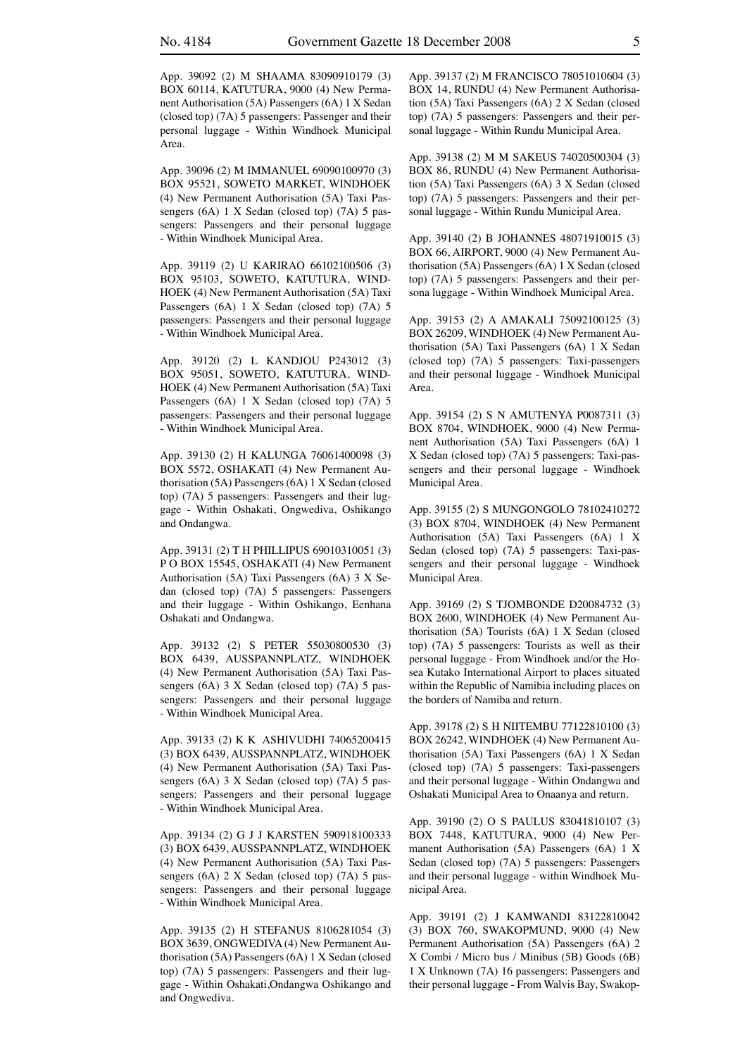App. 39092 (2) M SHAAMA 83090910179 (3) BOX 60114, KATUTURA, 9000 (4) New Permanent Authorisation (5A) Passengers (6A) 1 X Sedan (closed top) (7A) 5 passengers: Passenger and their personal luggage - Within Windhoek Municipal Area.

App. 39096 (2) M IMMANUEL 69090100970 (3) BOX 95521, SOWETO MARKET, WINDHOEK (4) New Permanent Authorisation (5A) Taxi Passengers (6A) 1 X Sedan (closed top) (7A) 5 passengers: Passengers and their personal luggage - Within Windhoek Municipal Area.

App. 39119 (2) U KARIRAO 66102100506 (3) BOX 95103, SOWETO, KATUTURA, WIND-HOEK (4) New Permanent Authorisation (5A) Taxi Passengers (6A) 1 X Sedan (closed top) (7A) 5 passengers: Passengers and their personal luggage - Within Windhoek Municipal Area.

App. 39120 (2) L KANDJOU P243012 (3) BOX 95051, SOWETO, KATUTURA, WIND-HOEK (4) New Permanent Authorisation (5A) Taxi Passengers (6A) 1 X Sedan (closed top) (7A) 5 passengers: Passengers and their personal luggage - Within Windhoek Municipal Area.

App. 39130 (2) H KALUNGA 76061400098 (3) BOX 5572, OSHAKATI (4) New Permanent Authorisation (5A) Passengers (6A) 1 X Sedan (closed top) (7A) 5 passengers: Passengers and their luggage - Within Oshakati, Ongwediva, Oshikango and Ondangwa.

App. 39131 (2) T H PHILLIPUS 69010310051 (3) P O BOX 15545, OSHAKATI (4) New Permanent Authorisation (5A) Taxi Passengers (6A) 3 X Sedan (closed top) (7A) 5 passengers: Passengers and their luggage - Within Oshikango, Eenhana Oshakati and Ondangwa.

App. 39132 (2) S PETER 55030800530 (3) BOX 6439, AUSSPANNPLATZ, WINDHOEK (4) New Permanent Authorisation (5A) Taxi Passengers (6A) 3 X Sedan (closed top) (7A) 5 passengers: Passengers and their personal luggage - Within Windhoek Municipal Area.

App. 39133 (2) K K ASHIVUDHI 74065200415 (3) BOX 6439, AUSSPANNPLATZ, WINDHOEK (4) New Permanent Authorisation (5A) Taxi Passengers (6A) 3 X Sedan (closed top) (7A) 5 passengers: Passengers and their personal luggage - Within Windhoek Municipal Area.

App. 39134 (2) G J J KARSTEN 590918100333 (3) BOX 6439, AUSSPANNPLATZ, WINDHOEK (4) New Permanent Authorisation (5A) Taxi Passengers (6A) 2 X Sedan (closed top) (7A) 5 passengers: Passengers and their personal luggage - Within Windhoek Municipal Area.

App. 39135 (2) H STEFANUS 8106281054 (3) BOX 3639, ONGWEDIVA (4) New Permanent Authorisation (5A) Passengers (6A) 1 X Sedan (closed top) (7A) 5 passengers: Passengers and their luggage - Within Oshakati,Ondangwa Oshikango and and Ongwediva.

App. 39137 (2) M FRANCISCO 78051010604 (3) BOX 14, RUNDU (4) New Permanent Authorisation (5A) Taxi Passengers (6A) 2 X Sedan (closed top) (7A) 5 passengers: Passengers and their personal luggage - Within Rundu Municipal Area.

App. 39138 (2) M M SAKEUS 74020500304 (3) BOX 86, RUNDU (4) New Permanent Authorisation (5A) Taxi Passengers (6A) 3 X Sedan (closed top) (7A) 5 passengers: Passengers and their personal luggage - Within Rundu Municipal Area.

App. 39140 (2) B JOHANNES 48071910015 (3) BOX 66, AIRPORT, 9000 (4) New Permanent Authorisation (5A) Passengers (6A) 1 X Sedan (closed top) (7A) 5 passengers: Passengers and their persona luggage - Within Windhoek Municipal Area.

App. 39153 (2) A AMAKALI 75092100125 (3) BOX 26209, WINDHOEK (4) New Permanent Authorisation (5A) Taxi Passengers (6A) 1 X Sedan (closed top) (7A) 5 passengers: Taxi-passengers and their personal luggage - Windhoek Municipal Area.

App. 39154 (2) S N AMUTENYA P0087311 (3) BOX 8704, WINDHOEK, 9000 (4) New Permanent Authorisation (5A) Taxi Passengers (6A) 1 X Sedan (closed top) (7A) 5 passengers: Taxi-passengers and their personal luggage - Windhoek Municipal Area.

App. 39155 (2) S MUNGONGOLO 78102410272 (3) BOX 8704, WINDHOEK (4) New Permanent Authorisation (5A) Taxi Passengers (6A) 1 X Sedan (closed top) (7A) 5 passengers: Taxi-passengers and their personal luggage - Windhoek Municipal Area.

App. 39169 (2) S TJOMBONDE D20084732 (3) BOX 2600, WINDHOEK (4) New Permanent Authorisation (5A) Tourists (6A) 1 X Sedan (closed top) (7A) 5 passengers: Tourists as well as their personal luggage - From Windhoek and/or the Hosea Kutako International Airport to places situated within the Republic of Namibia including places on the borders of Namiba and return.

App. 39178 (2) S H NIITEMBU 77122810100 (3) BOX 26242, WINDHOEK (4) New Permanent Authorisation (5A) Taxi Passengers (6A) 1 X Sedan (closed top) (7A) 5 passengers: Taxi-passengers and their personal luggage - Within Ondangwa and Oshakati Municipal Area to Onaanya and return.

App. 39190 (2) O S PAULUS 83041810107 (3) BOX 7448, KATUTURA, 9000 (4) New Permanent Authorisation (5A) Passengers (6A) 1 X Sedan (closed top) (7A) 5 passengers: Passengers and their personal luggage - within Windhoek Municipal Area.

App. 39191 (2) J KAMWANDI 83122810042 (3) BOX 760, SWAKOPMUND, 9000 (4) New Permanent Authorisation (5A) Passengers (6A) 2 X Combi / Micro bus / Minibus (5B) Goods (6B) 1 X Unknown (7A) 16 passengers: Passengers and their personal luggage - From Walvis Bay, Swakop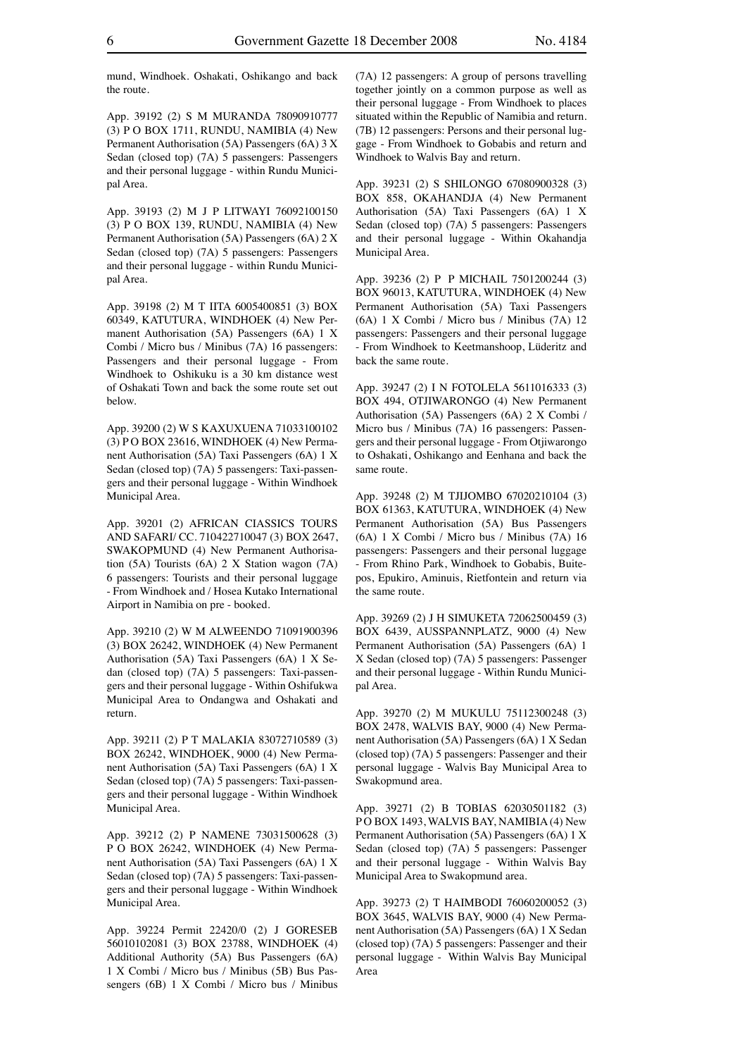mund, Windhoek. Oshakati, Oshikango and back the route.

App. 39192 (2) S M MURANDA 78090910777 (3) P O BOX 1711, RUNDU, NAMIBIA (4) New Permanent Authorisation (5A) Passengers (6A) 3 X Sedan (closed top) (7A) 5 passengers: Passengers and their personal luggage - within Rundu Municipal Area.

App. 39193 (2) M J P LITWAYI 76092100150 (3) P O BOX 139, RUNDU, NAMIBIA (4) New Permanent Authorisation (5A) Passengers (6A) 2 X Sedan (closed top) (7A) 5 passengers: Passengers and their personal luggage - within Rundu Municipal Area.

App. 39198 (2) M T IITA 6005400851 (3) BOX 60349, KATUTURA, WINDHOEK (4) New Permanent Authorisation (5A) Passengers (6A) 1 X Combi / Micro bus / Minibus (7A) 16 passengers: Passengers and their personal luggage - From Windhoek to Oshikuku is a 30 km distance west of Oshakati Town and back the some route set out below.

App. 39200 (2) W S KAXUXUENA 71033100102 (3) P O BOX 23616, WINDHOEK (4) New Permanent Authorisation (5A) Taxi Passengers (6A) 1 X Sedan (closed top) (7A) 5 passengers: Taxi-passengers and their personal luggage - Within Windhoek Municipal Area.

App. 39201 (2) AFRICAN CIASSICS TOURS AND SAFARI/ CC. 710422710047 (3) BOX 2647, SWAKOPMUND (4) New Permanent Authorisation (5A) Tourists (6A) 2 X Station wagon (7A) 6 passengers: Tourists and their personal luggage - From Windhoek and / Hosea Kutako International Airport in Namibia on pre - booked.

App. 39210 (2) W M ALWEENDO 71091900396 (3) BOX 26242, WINDHOEK (4) New Permanent Authorisation (5A) Taxi Passengers (6A) 1 X Sedan (closed top) (7A) 5 passengers: Taxi-passengers and their personal luggage - Within Oshifukwa Municipal Area to Ondangwa and Oshakati and return.

App. 39211 (2) P T MALAKIA 83072710589 (3) BOX 26242, WINDHOEK, 9000 (4) New Permanent Authorisation (5A) Taxi Passengers (6A) 1 X Sedan (closed top) (7A) 5 passengers: Taxi-passengers and their personal luggage - Within Windhoek Municipal Area.

App. 39212 (2) P NAMENE 73031500628 (3) P O BOX 26242, WINDHOEK (4) New Permanent Authorisation (5A) Taxi Passengers (6A) 1 X Sedan (closed top) (7A) 5 passengers: Taxi-passengers and their personal luggage - Within Windhoek Municipal Area.

App. 39224 Permit 22420/0 (2) J GORESEB 56010102081 (3) BOX 23788, WINDHOEK (4) Additional Authority (5A) Bus Passengers (6A) 1 X Combi / Micro bus / Minibus (5B) Bus Passengers (6B) 1 X Combi / Micro bus / Minibus (7A) 12 passengers: A group of persons travelling together jointly on a common purpose as well as their personal luggage - From Windhoek to places situated within the Republic of Namibia and return. (7B) 12 passengers: Persons and their personal luggage - From Windhoek to Gobabis and return and Windhoek to Walvis Bay and return.

App. 39231 (2) S SHILONGO 67080900328 (3) BOX 858, OKAHANDJA (4) New Permanent Authorisation (5A) Taxi Passengers (6A) 1 X Sedan (closed top) (7A) 5 passengers: Passengers and their personal luggage - Within Okahandja Municipal Area.

App. 39236 (2) P P MICHAIL 7501200244 (3) BOX 96013, KATUTURA, WINDHOEK (4) New Permanent Authorisation (5A) Taxi Passengers (6A) 1 X Combi / Micro bus / Minibus (7A) 12 passengers: Passengers and their personal luggage - From Windhoek to Keetmanshoop, Lüderitz and back the same route.

App. 39247 (2) I N FOTOLELA 5611016333 (3) BOX 494, OTJIWARONGO (4) New Permanent Authorisation (5A) Passengers (6A) 2 X Combi / Micro bus / Minibus (7A) 16 passengers: Passengers and their personal luggage - From Otjiwarongo to Oshakati, Oshikango and Eenhana and back the same route.

App. 39248 (2) M TJIJOMBO 67020210104 (3) BOX 61363, KATUTURA, WINDHOEK (4) New Permanent Authorisation (5A) Bus Passengers (6A) 1 X Combi / Micro bus / Minibus (7A) 16 passengers: Passengers and their personal luggage - From Rhino Park, Windhoek to Gobabis, Buitepos, Epukiro, Aminuis, Rietfontein and return via the same route.

App. 39269 (2) J H SIMUKETA 72062500459 (3) BOX 6439, AUSSPANNPLATZ, 9000 (4) New Permanent Authorisation (5A) Passengers (6A) 1 X Sedan (closed top) (7A) 5 passengers: Passenger and their personal luggage - Within Rundu Municipal Area.

App. 39270 (2) M MUKULU 75112300248 (3) BOX 2478, WALVIS BAY, 9000 (4) New Permanent Authorisation (5A) Passengers (6A) 1 X Sedan (closed top) (7A) 5 passengers: Passenger and their personal luggage - Walvis Bay Municipal Area to Swakopmund area.

App. 39271 (2) B TOBIAS 62030501182 (3) P O BOX 1493, WALVIS BAY, NAMIBIA (4) New Permanent Authorisation (5A) Passengers (6A) 1 X Sedan (closed top) (7A) 5 passengers: Passenger and their personal luggage - Within Walvis Bay Municipal Area to Swakopmund area.

App. 39273 (2) T HAIMBODI 76060200052 (3) BOX 3645, WALVIS BAY, 9000 (4) New Permanent Authorisation (5A) Passengers (6A) 1 X Sedan (closed top) (7A) 5 passengers: Passenger and their personal luggage - Within Walvis Bay Municipal Area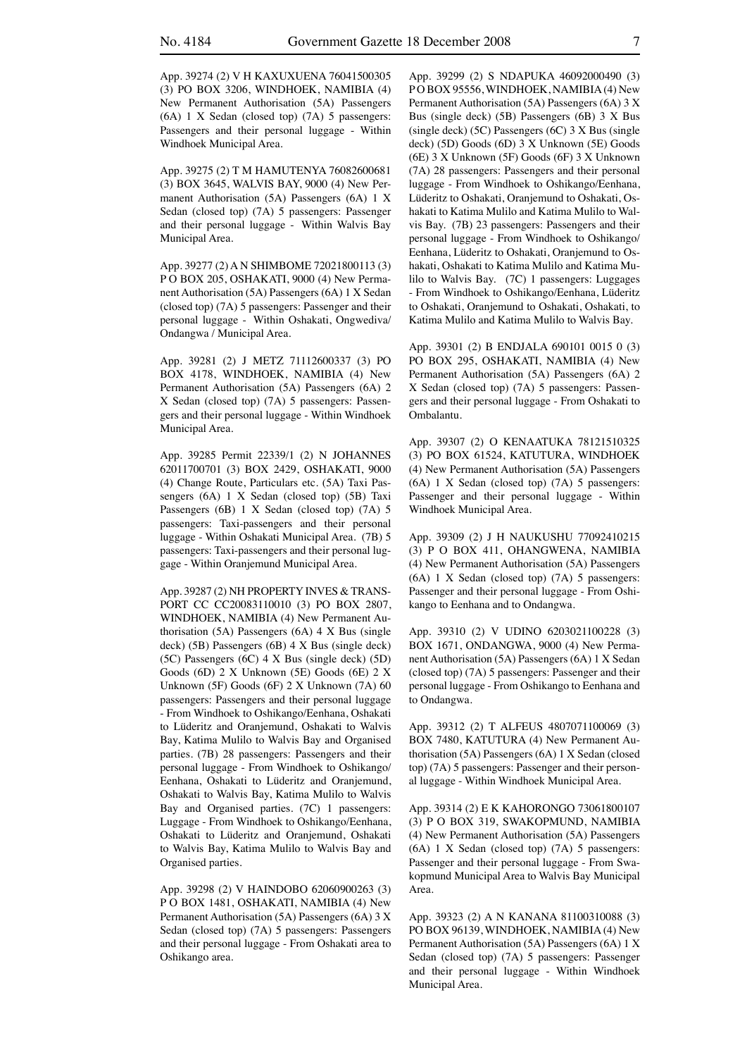App. 39274 (2) V H KAXUXUENA 76041500305 (3) PO BOX 3206, WINDHOEK, NAMIBIA (4) New Permanent Authorisation (5A) Passengers (6A) 1 X Sedan (closed top) (7A) 5 passengers: Passengers and their personal luggage - Within Windhoek Municipal Area.

App. 39275 (2) T M HAMUTENYA 76082600681 (3) BOX 3645, WALVIS BAY, 9000 (4) New Permanent Authorisation (5A) Passengers (6A) 1 X Sedan (closed top) (7A) 5 passengers: Passenger and their personal luggage - Within Walvis Bay Municipal Area.

App. 39277 (2) A N SHIMBOME 72021800113 (3) P O BOX 205, OSHAKATI, 9000 (4) New Permanent Authorisation (5A) Passengers (6A) 1 X Sedan (closed top) (7A) 5 passengers: Passenger and their personal luggage - Within Oshakati, Ongwediva/ Ondangwa / Municipal Area.

App. 39281 (2) J METZ 71112600337 (3) PO BOX 4178, WINDHOEK, NAMIBIA (4) New Permanent Authorisation (5A) Passengers (6A) 2 X Sedan (closed top) (7A) 5 passengers: Passengers and their personal luggage - Within Windhoek Municipal Area.

App. 39285 Permit 22339/1 (2) N JOHANNES 62011700701 (3) BOX 2429, OSHAKATI, 9000 (4) Change Route, Particulars etc. (5A) Taxi Passengers (6A) 1 X Sedan (closed top) (5B) Taxi Passengers (6B) 1 X Sedan (closed top) (7A) 5 passengers: Taxi-passengers and their personal luggage - Within Oshakati Municipal Area. (7B) 5 passengers: Taxi-passengers and their personal luggage - Within Oranjemund Municipal Area.

App. 39287 (2) NH PROPERTY INVES & TRANS-PORT CC CC20083110010 (3) PO BOX 2807, WINDHOEK, NAMIBIA (4) New Permanent Authorisation (5A) Passengers (6A) 4 X Bus (single deck) (5B) Passengers (6B) 4 X Bus (single deck) (5C) Passengers (6C) 4 X Bus (single deck) (5D) Goods (6D) 2 X Unknown (5E) Goods (6E) 2 X Unknown (5F) Goods (6F) 2 X Unknown (7A) 60 passengers: Passengers and their personal luggage - From Windhoek to Oshikango/Eenhana, Oshakati to Lüderitz and Oranjemund, Oshakati to Walvis Bay, Katima Mulilo to Walvis Bay and Organised parties. (7B) 28 passengers: Passengers and their personal luggage - From Windhoek to Oshikango/ Eenhana, Oshakati to Lüderitz and Oranjemund, Oshakati to Walvis Bay, Katima Mulilo to Walvis Bay and Organised parties. (7C) 1 passengers: Luggage - From Windhoek to Oshikango/Eenhana, Oshakati to Lüderitz and Oranjemund, Oshakati to Walvis Bay, Katima Mulilo to Walvis Bay and Organised parties.

App. 39298 (2) V HAINDOBO 62060900263 (3) P O BOX 1481, OSHAKATI, NAMIBIA (4) New Permanent Authorisation (5A) Passengers (6A) 3 X Sedan (closed top) (7A) 5 passengers: Passengers and their personal luggage - From Oshakati area to Oshikango area.

App. 39299 (2) S NDAPUKA 46092000490 (3) PO BOX 95556, WINDHOEK, NAMIBIA (4) New Permanent Authorisation (5A) Passengers (6A) 3 X Bus (single deck) (5B) Passengers (6B) 3 X Bus (single deck) (5C) Passengers (6C) 3 X Bus (single deck) (5D) Goods (6D) 3 X Unknown (5E) Goods (6E) 3 X Unknown (5F) Goods (6F) 3 X Unknown (7A) 28 passengers: Passengers and their personal luggage - From Windhoek to Oshikango/Eenhana, Lüderitz to Oshakati, Oranjemund to Oshakati, Oshakati to Katima Mulilo and Katima Mulilo to Walvis Bay. (7B) 23 passengers: Passengers and their personal luggage - From Windhoek to Oshikango/ Eenhana, Lüderitz to Oshakati, Oranjemund to Oshakati, Oshakati to Katima Mulilo and Katima Mulilo to Walvis Bay. (7C) 1 passengers: Luggages - From Windhoek to Oshikango/Eenhana, Lüderitz to Oshakati, Oranjemund to Oshakati, Oshakati, to Katima Mulilo and Katima Mulilo to Walvis Bay.

App. 39301 (2) B ENDJALA 690101 0015 0 (3) PO BOX 295, OSHAKATI, NAMIBIA (4) New Permanent Authorisation (5A) Passengers (6A) 2 X Sedan (closed top) (7A) 5 passengers: Passengers and their personal luggage - From Oshakati to Ombalantu.

App. 39307 (2) O KENAATUKA 78121510325 (3) PO BOX 61524, KATUTURA, WINDHOEK (4) New Permanent Authorisation (5A) Passengers (6A) 1 X Sedan (closed top) (7A) 5 passengers: Passenger and their personal luggage - Within Windhoek Municipal Area.

App. 39309 (2) J H NAUKUSHU 77092410215 (3) P O BOX 411, OHANGWENA, NAMIBIA (4) New Permanent Authorisation (5A) Passengers (6A) 1 X Sedan (closed top) (7A) 5 passengers: Passenger and their personal luggage - From Oshikango to Eenhana and to Ondangwa.

App. 39310 (2) V UDINO 6203021100228 (3) BOX 1671, ONDANGWA, 9000 (4) New Permanent Authorisation (5A) Passengers (6A) 1 X Sedan (closed top) (7A) 5 passengers: Passenger and their personal luggage - From Oshikango to Eenhana and to Ondangwa.

App. 39312 (2) T ALFEUS 4807071100069 (3) BOX 7480, KATUTURA (4) New Permanent Authorisation (5A) Passengers (6A) 1 X Sedan (closed top) (7A) 5 passengers: Passenger and their personal luggage - Within Windhoek Municipal Area.

App. 39314 (2) E K KAHORONGO 73061800107 (3) P O BOX 319, SWAKOPMUND, NAMIBIA (4) New Permanent Authorisation (5A) Passengers (6A) 1 X Sedan (closed top) (7A) 5 passengers: Passenger and their personal luggage - From Swakopmund Municipal Area to Walvis Bay Municipal Area.

App. 39323 (2) A N KANANA 81100310088 (3) PO BOX 96139, WINDHOEK, NAMIBIA (4) New Permanent Authorisation (5A) Passengers (6A) 1 X Sedan (closed top) (7A) 5 passengers: Passenger and their personal luggage - Within Windhoek Municipal Area.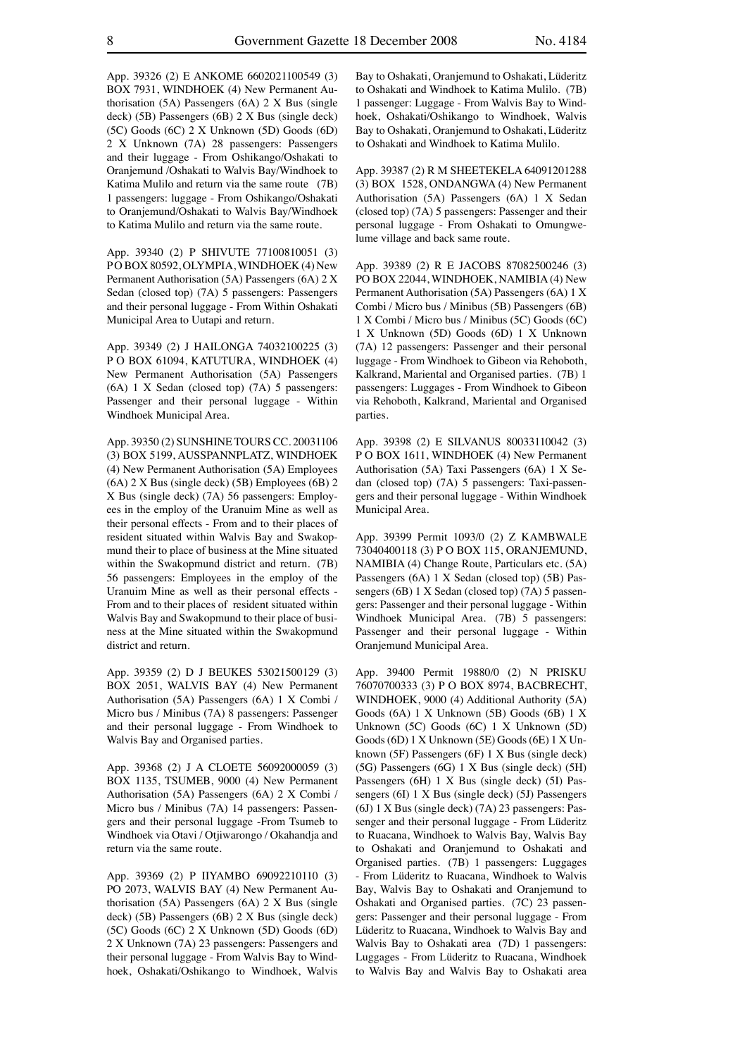App. 39326 (2) E ANKOME 6602021100549 (3) BOX 7931, WINDHOEK (4) New Permanent Authorisation (5A) Passengers (6A) 2 X Bus (single deck) (5B) Passengers (6B) 2 X Bus (single deck) (5C) Goods (6C) 2 X Unknown (5D) Goods (6D) 2 X Unknown (7A) 28 passengers: Passengers and their luggage - From Oshikango/Oshakati to Oranjemund /Oshakati to Walvis Bay/Windhoek to Katima Mulilo and return via the same route (7B) 1 passengers: luggage - From Oshikango/Oshakati to Oranjemund/Oshakati to Walvis Bay/Windhoek to Katima Mulilo and return via the same route.

App. 39340 (2) P SHIVUTE 77100810051 (3) PO BOX 80592, OLYMPIA, WINDHOEK (4) New Permanent Authorisation (5A) Passengers (6A) 2 X Sedan (closed top) (7A) 5 passengers: Passengers and their personal luggage - From Within Oshakati Municipal Area to Uutapi and return.

App. 39349 (2) J HAILONGA 74032100225 (3) P O BOX 61094, KATUTURA, WINDHOEK (4) New Permanent Authorisation (5A) Passengers (6A) 1 X Sedan (closed top) (7A) 5 passengers: Passenger and their personal luggage - Within Windhoek Municipal Area.

App. 39350 (2) SUNSHINE TOURS CC. 20031106 (3) BOX 5199, AUSSPANNPLATZ, WINDHOEK (4) New Permanent Authorisation (5A) Employees (6A) 2 X Bus (single deck) (5B) Employees (6B) 2 X Bus (single deck) (7A) 56 passengers: Employees in the employ of the Uranuim Mine as well as their personal effects - From and to their places of resident situated within Walvis Bay and Swakopmund their to place of business at the Mine situated within the Swakopmund district and return. (7B) 56 passengers: Employees in the employ of the Uranuim Mine as well as their personal effects - From and to their places of resident situated within Walvis Bay and Swakopmund to their place of business at the Mine situated within the Swakopmund district and return.

App. 39359 (2) D J BEUKES 53021500129 (3) BOX 2051, WALVIS BAY (4) New Permanent Authorisation (5A) Passengers (6A) 1 X Combi / Micro bus / Minibus (7A) 8 passengers: Passenger and their personal luggage - From Windhoek to Walvis Bay and Organised parties.

App. 39368 (2) J A CLOETE 56092000059 (3) BOX 1135, TSUMEB, 9000 (4) New Permanent Authorisation (5A) Passengers (6A) 2 X Combi / Micro bus / Minibus (7A) 14 passengers: Passengers and their personal luggage -From Tsumeb to Windhoek via Otavi / Otiiwarongo / Okahandia and return via the same route.

App. 39369 (2) P IIYAMBO 69092210110 (3) PO 2073, WALVIS BAY (4) New Permanent Authorisation (5A) Passengers (6A) 2 X Bus (single deck) (5B) Passengers (6B) 2 X Bus (single deck) (5C) Goods (6C) 2 X Unknown (5D) Goods (6D) 2 X Unknown (7A) 23 passengers: Passengers and their personal luggage - From Walvis Bay to Windhoek, Oshakati/Oshikango to Windhoek, Walvis Bay to Oshakati, Oranjemund to Oshakati, Lüderitz to Oshakati and Windhoek to Katima Mulilo. (7B) 1 passenger: Luggage - From Walvis Bay to Windhoek, Oshakati/Oshikango to Windhoek, Walvis Bay to Oshakati, Oranjemund to Oshakati, Lüderitz to Oshakati and Windhoek to Katima Mulilo.

App. 39387 (2) R M SHEETEKELA 64091201288 (3) BOX 1528, ONDANGWA (4) New Permanent Authorisation (5A) Passengers (6A) 1 X Sedan (closed top) (7A) 5 passengers: Passenger and their personal luggage - From Oshakati to Omungwelume village and back same route.

App. 39389 (2) R E JACOBS 87082500246 (3) PO BOX 22044, WINDHOEK, NAMIBIA (4) New Permanent Authorisation (5A) Passengers (6A) 1 X Combi / Micro bus / Minibus (5B) Passengers (6B) 1 X Combi / Micro bus / Minibus (5C) Goods (6C) 1 X Unknown (5D) Goods (6D) 1 X Unknown (7A) 12 passengers: Passenger and their personal luggage - From Windhoek to Gibeon via Rehoboth, Kalkrand, Mariental and Organised parties. (7B) 1 passengers: Luggages - From Windhoek to Gibeon via Rehoboth, Kalkrand, Mariental and Organised parties.

App. 39398 (2) E SILVANUS 80033110042 (3) P O BOX 1611, WINDHOEK (4) New Permanent Authorisation (5A) Taxi Passengers (6A) 1 X Sedan (closed top) (7A) 5 passengers: Taxi-passengers and their personal luggage - Within Windhoek Municipal Area.

App. 39399 Permit 1093/0 (2) Z KAMBWALE 73040400118 (3) P O BOX 115, ORANJEMUND, NAMIBIA (4) Change Route, Particulars etc. (5A) Passengers (6A) 1 X Sedan (closed top) (5B) Passengers (6B) 1 X Sedan (closed top) (7A) 5 passengers: Passenger and their personal luggage - Within Windhoek Municipal Area. (7B) 5 passengers: Passenger and their personal luggage - Within Oranjemund Municipal Area.

App. 39400 Permit 19880/0 (2) N PRISKU 76070700333 (3) P O BOX 8974, BACBRECHT, WINDHOEK, 9000 (4) Additional Authority (5A) Goods (6A) 1 X Unknown (5B) Goods (6B) 1 X Unknown (5C) Goods (6C) 1 X Unknown (5D) Goods (6D) 1 X Unknown (5E) Goods (6E) 1 X Unknown (5F) Passengers (6F) 1 X Bus (single deck) (5G) Passengers (6G) 1 X Bus (single deck) (5H) Passengers (6H) 1 X Bus (single deck) (5I) Passengers (6I) 1 X Bus (single deck) (5J) Passengers (6J) 1 X Bus (single deck) (7A) 23 passengers: Passenger and their personal luggage - From Lüderitz to Ruacana, Windhoek to Walvis Bay, Walvis Bay to Oshakati and Oranjemund to Oshakati and Organised parties. (7B) 1 passengers: Luggages - From Lüderitz to Ruacana, Windhoek to Walvis Bay, Walvis Bay to Oshakati and Oranjemund to Oshakati and Organised parties. (7C) 23 passengers: Passenger and their personal luggage - From Lüderitz to Ruacana, Windhoek to Walvis Bay and Walvis Bay to Oshakati area (7D) 1 passengers: Luggages - From Lüderitz to Ruacana, Windhoek to Walvis Bay and Walvis Bay to Oshakati area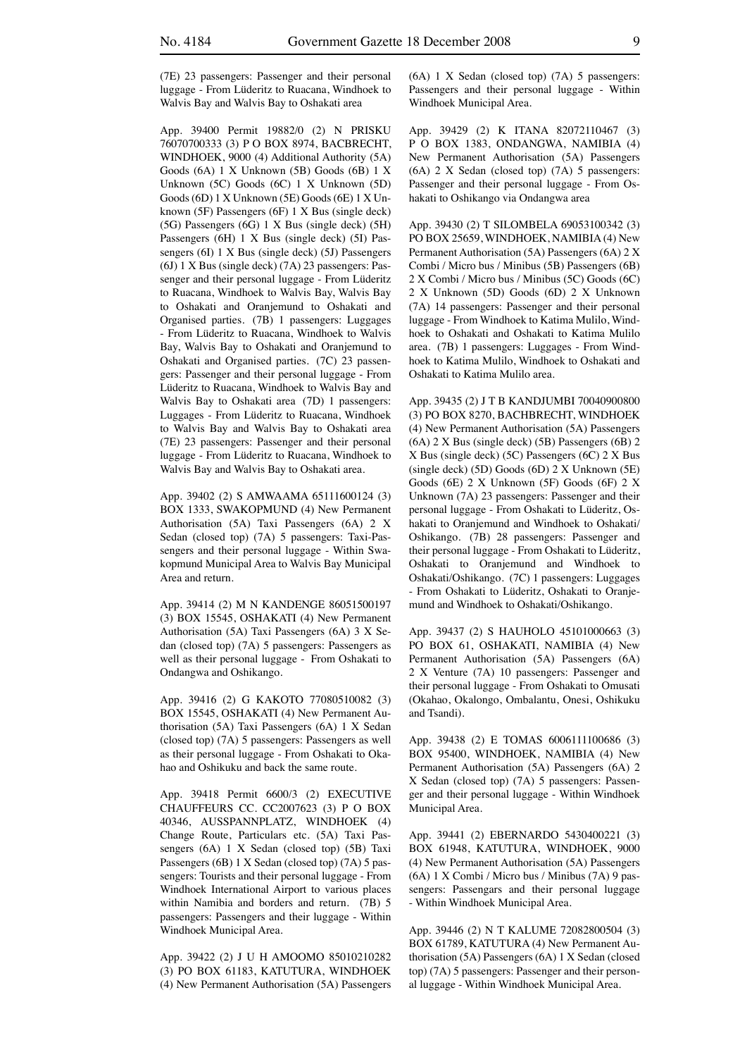(7E) 23 passengers: Passenger and their personal luggage - From Lüderitz to Ruacana, Windhoek to Walvis Bay and Walvis Bay to Oshakati area

App. 39400 Permit 19882/0 (2) N PRISKU 76070700333 (3) P O BOX 8974, BACBRECHT, WINDHOEK, 9000 (4) Additional Authority (5A) Goods (6A) 1 X Unknown (5B) Goods (6B) 1 X Unknown (5C) Goods (6C) 1 X Unknown (5D) Goods (6D) 1 X Unknown (5E) Goods (6E) 1 X Unknown (5F) Passengers (6F) 1 X Bus (single deck) (5G) Passengers (6G) 1 X Bus (single deck) (5H) Passengers (6H) 1 X Bus (single deck) (5I) Passengers (6I) 1 X Bus (single deck) (5J) Passengers (6J) 1 X Bus (single deck) (7A) 23 passengers: Passenger and their personal luggage - From Lüderitz to Ruacana, Windhoek to Walvis Bay, Walvis Bay to Oshakati and Oranjemund to Oshakati and Organised parties. (7B) 1 passengers: Luggages - From Lüderitz to Ruacana, Windhoek to Walvis Bay, Walvis Bay to Oshakati and Oranjemund to Oshakati and Organised parties. (7C) 23 passengers: Passenger and their personal luggage - From Lüderitz to Ruacana, Windhoek to Walvis Bay and Walvis Bay to Oshakati area (7D) 1 passengers: Luggages - From Lüderitz to Ruacana, Windhoek to Walvis Bay and Walvis Bay to Oshakati area (7E) 23 passengers: Passenger and their personal luggage - From Lüderitz to Ruacana, Windhoek to Walvis Bay and Walvis Bay to Oshakati area.

App. 39402 (2) S AMWAAMA 65111600124 (3) BOX 1333, SWAKOPMUND (4) New Permanent Authorisation (5A) Taxi Passengers (6A) 2 X Sedan (closed top) (7A) 5 passengers: Taxi-Passengers and their personal luggage - Within Swakopmund Municipal Area to Walvis Bay Municipal Area and return.

App. 39414 (2) M N KANDENGE 86051500197 (3) BOX 15545, OSHAKATI (4) New Permanent Authorisation (5A) Taxi Passengers (6A) 3 X Sedan (closed top) (7A) 5 passengers: Passengers as well as their personal luggage - From Oshakati to Ondangwa and Oshikango.

App. 39416 (2) G KAKOTO 77080510082 (3) BOX 15545, OSHAKATI (4) New Permanent Authorisation (5A) Taxi Passengers (6A) 1 X Sedan (closed top) (7A) 5 passengers: Passengers as well as their personal luggage - From Oshakati to Okahao and Oshikuku and back the same route.

App. 39418 Permit 6600/3 (2) EXECUTIVE CHAUFFEURS CC. CC2007623 (3) P O BOX 40346, AUSSPANNPLATZ, WINDHOEK (4) Change Route, Particulars etc. (5A) Taxi Passengers (6A) 1 X Sedan (closed top) (5B) Taxi Passengers (6B) 1 X Sedan (closed top) (7A) 5 passengers: Tourists and their personal luggage - From Windhoek International Airport to various places within Namibia and borders and return. (7B) 5 passengers: Passengers and their luggage - Within Windhoek Municipal Area.

App. 39422 (2) J U H AMOOMO 85010210282 (3) PO BOX 61183, KATUTURA, WINDHOEK (4) New Permanent Authorisation (5A) Passengers (6A) 1 X Sedan (closed top) (7A) 5 passengers: Passengers and their personal luggage - Within Windhoek Municipal Area.

App. 39429 (2) K ITANA 82072110467 (3) P O BOX 1383, ONDANGWA, NAMIBIA (4) New Permanent Authorisation (5A) Passengers (6A) 2 X Sedan (closed top) (7A) 5 passengers: Passenger and their personal luggage - From Oshakati to Oshikango via Ondangwa area

App. 39430 (2) T SILOMBELA 69053100342 (3) PO BOX 25659, WINDHOEK, NAMIBIA (4) New Permanent Authorisation (5A) Passengers (6A) 2 X Combi / Micro bus / Minibus (5B) Passengers (6B) 2 X Combi / Micro bus / Minibus (5C) Goods (6C) 2 X Unknown (5D) Goods (6D) 2 X Unknown (7A) 14 passengers: Passenger and their personal luggage - From Windhoek to Katima Mulilo, Windhoek to Oshakati and Oshakati to Katima Mulilo area. (7B) 1 passengers: Luggages - From Windhoek to Katima Mulilo, Windhoek to Oshakati and Oshakati to Katima Mulilo area.

App. 39435 (2) J T B KANDJUMBI 70040900800 (3) PO BOX 8270, BACHBRECHT, WINDHOEK (4) New Permanent Authorisation (5A) Passengers (6A) 2 X Bus (single deck) (5B) Passengers (6B) 2 X Bus (single deck) (5C) Passengers (6C) 2 X Bus (single deck) (5D) Goods (6D) 2 X Unknown (5E) Goods (6E) 2 X Unknown (5F) Goods (6F) 2 X Unknown (7A) 23 passengers: Passenger and their personal luggage - From Oshakati to Lüderitz, Oshakati to Oranjemund and Windhoek to Oshakati/ Oshikango. (7B) 28 passengers: Passenger and their personal luggage - From Oshakati to Lüderitz, Oshakati to Oranjemund and Windhoek to Oshakati/Oshikango. (7C) 1 passengers: Luggages - From Oshakati to Lüderitz, Oshakati to Oranjemund and Windhoek to Oshakati/Oshikango.

App. 39437 (2) S HAUHOLO 45101000663 (3) PO BOX 61, OSHAKATI, NAMIBIA (4) New Permanent Authorisation (5A) Passengers (6A) 2 X Venture (7A) 10 passengers: Passenger and their personal luggage - From Oshakati to Omusati (Okahao, Okalongo, Ombalantu, Onesi, Oshikuku and Tsandi).

App. 39438 (2) E TOMAS 6006111100686 (3) BOX 95400, WINDHOEK, NAMIBIA (4) New Permanent Authorisation (5A) Passengers (6A) 2 X Sedan (closed top) (7A) 5 passengers: Passenger and their personal luggage - Within Windhoek Municipal Area.

App. 39441 (2) EBERNARDO 5430400221 (3) BOX 61948, KATUTURA, WINDHOEK, 9000 (4) New Permanent Authorisation (5A) Passengers (6A) 1 X Combi / Micro bus / Minibus (7A) 9 passengers: Passengars and their personal luggage - Within Windhoek Municipal Area.

App. 39446 (2) N T KALUME 72082800504 (3) BOX 61789, KATUTURA (4) New Permanent Authorisation (5A) Passengers (6A) 1 X Sedan (closed top) (7A) 5 passengers: Passenger and their personal luggage - Within Windhoek Municipal Area.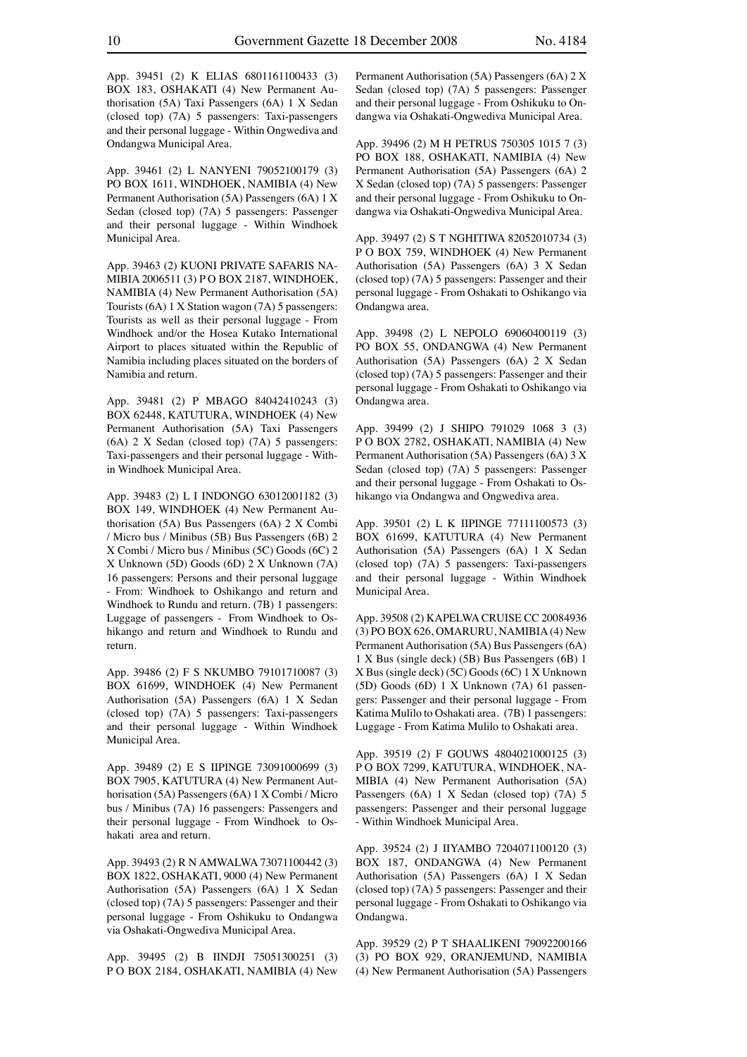App. 39451 (2) K ELIAS 6801161100433 (3) BOX 183, OSHAKATI (4) New Permanent Authorisation (5A) Taxi Passengers (6A) 1 X Sedan (closed top) (7A) 5 passengers: Taxi-passengers and their personal luggage - Within Ongwediva and Ondangwa Municipal Area.

App. 39461 (2) L NANYENI 79052100179 (3) PO BOX 1611, WINDHOEK, NAMIBIA (4) New Permanent Authorisation (5A) Passengers (6A) 1 X Sedan (closed top) (7A) 5 passengers: Passenger and their personal luggage - Within Windhoek Municipal Area.

App. 39463 (2) KUONI PRIVATE SAFARIS NA-MIBIA 2006511 (3) P O BOX 2187, WINDHOEK, NAMIBIA (4) New Permanent Authorisation (5A) Tourists (6A) 1 X Station wagon (7A) 5 passengers: Tourists as well as their personal luggage - From Windhoek and/or the Hosea Kutako International Airport to places situated within the Republic of Namibia including places situated on the borders of Namibia and return.

App. 39481 (2) P MBAGO 84042410243 (3) BOX 62448, KATUTURA, WINDHOEK (4) New Permanent Authorisation (5A) Taxi Passengers (6A) 2 X Sedan (closed top) (7A) 5 passengers: Taxi-passengers and their personal luggage - Within Windhoek Municipal Area.

App. 39483 (2) L I INDONGO 63012001182 (3) BOX 149, WINDHOEK (4) New Permanent Authorisation (5A) Bus Passengers (6A) 2 X Combi / Micro bus / Minibus (5B) Bus Passengers (6B) 2 X Combi / Micro bus / Minibus (5C) Goods (6C) 2 X Unknown (5D) Goods (6D) 2 X Unknown (7A) 16 passengers: Persons and their personal luggage - From: Windhoek to Oshikango and return and Windhoek to Rundu and return. (7B) 1 passengers: Luggage of passengers - From Windhoek to Oshikango and return and Windhoek to Rundu and return.

App. 39486 (2) F S NKUMBO 79101710087 (3) BOX 61699, WINDHOEK (4) New Permanent Authorisation (5A) Passengers (6A) 1 X Sedan (closed top) (7A) 5 passengers: Taxi-passengers and their personal luggage - Within Windhoek Municipal Area.

App. 39489 (2) E S IIPINGE 73091000699 (3) BOX 7905, KATUTURA (4) New Permanent Authorisation (5A) Passengers (6A) 1 X Combi / Micro bus / Minibus (7A) 16 passengers: Passengers and their personal luggage - From Windhoek to Oshakati area and return.

App. 39493 (2) R N AMWALWA 73071100442 (3) BOX 1822, OSHAKATI, 9000 (4) New Permanent Authorisation (5A) Passengers (6A) 1 X Sedan (closed top) (7A) 5 passengers: Passenger and their personal luggage - From Oshikuku to Ondangwa via Oshakati-Ongwediva Municipal Area.

App. 39495 (2) B IINDJI 75051300251 (3) P O BOX 2184, OSHAKATI, NAMIBIA (4) New Permanent Authorisation (5A) Passengers (6A) 2 X Sedan (closed top) (7A) 5 passengers: Passenger and their personal luggage - From Oshikuku to Ondangwa via Oshakati-Ongwediva Municipal Area.

App. 39496 (2) M H PETRUS 750305 1015 7 (3) PO BOX 188, OSHAKATI, NAMIBIA (4) New Permanent Authorisation (5A) Passengers (6A) 2 X Sedan (closed top) (7A) 5 passengers: Passenger and their personal luggage - From Oshikuku to Ondangwa via Oshakati-Ongwediva Municipal Area.

App. 39497 (2) S T NGHITIWA 82052010734 (3) P O BOX 759, WINDHOEK (4) New Permanent Authorisation (5A) Passengers (6A) 3 X Sedan (closed top) (7A) 5 passengers: Passenger and their personal luggage - From Oshakati to Oshikango via Ondangwa area.

App. 39498 (2) L NEPOLO 69060400119 (3) PO BOX 55, ONDANGWA (4) New Permanent Authorisation (5A) Passengers (6A) 2 X Sedan (closed top) (7A) 5 passengers: Passenger and their personal luggage - From Oshakati to Oshikango via Ondangwa area.

App. 39499 (2) J SHIPO 791029 1068 3 (3) P O BOX 2782, OSHAKATI, NAMIBIA (4) New Permanent Authorisation (5A) Passengers (6A) 3 X Sedan (closed top) (7A) 5 passengers: Passenger and their personal luggage - From Oshakati to Oshikango via Ondangwa and Ongwediva area.

App. 39501 (2) L K IIPINGE 77111100573 (3) BOX 61699, KATUTURA (4) New Permanent Authorisation (5A) Passengers (6A) 1 X Sedan (closed top) (7A) 5 passengers: Taxi-passengers and their personal luggage - Within Windhoek Municipal Area.

App. 39508 (2) KAPELWA CRUISE CC 20084936 (3) PO BOX 626, OMARURU, NAMIBIA (4) New Permanent Authorisation (5A) Bus Passengers (6A) 1 X Bus (single deck) (5B) Bus Passengers (6B) 1 X Bus (single deck) (5C) Goods (6C) 1 X Unknown (5D) Goods (6D) 1 X Unknown (7A) 61 passengers: Passenger and their personal luggage - From Katima Mulilo to Oshakati area. (7B) 1 passengers: Luggage - From Katima Mulilo to Oshakati area.

App. 39519 (2) F GOUWS 4804021000125 (3) P O BOX 7299, KATUTURA, WINDHOEK, NA-MIBIA (4) New Permanent Authorisation (5A) Passengers (6A) 1 X Sedan (closed top) (7A) 5 passengers: Passenger and their personal luggage - Within Windhoek Municipal Area.

App. 39524 (2) J IIYAMBO 7204071100120 (3) BOX 187, ONDANGWA (4) New Permanent Authorisation (5A) Passengers (6A) 1 X Sedan (closed top) (7A) 5 passengers: Passenger and their personal luggage - From Oshakati to Oshikango via Ondangwa.

App. 39529 (2) P T SHAALIKENI 79092200166 (3) PO BOX 929, ORANJEMUND, NAMIBIA (4) New Permanent Authorisation (5A) Passengers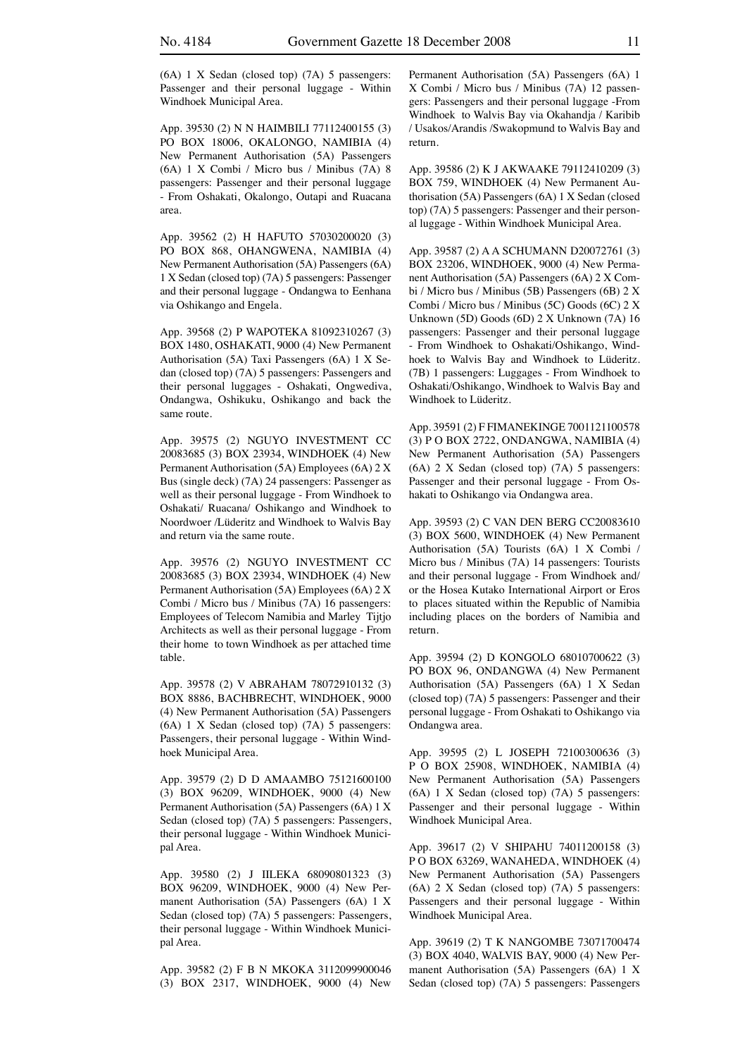(6A) 1 X Sedan (closed top) (7A) 5 passengers: Passenger and their personal luggage - Within Windhoek Municipal Area.

App. 39530 (2) N N HAIMBILI 77112400155 (3) PO BOX 18006, OKALONGO, NAMIBIA (4) New Permanent Authorisation (5A) Passengers (6A) 1 X Combi / Micro bus / Minibus (7A) 8 passengers: Passenger and their personal luggage - From Oshakati, Okalongo, Outapi and Ruacana area.

App. 39562 (2) H HAFUTO 57030200020 (3) PO BOX 868, OHANGWENA, NAMIBIA (4) New Permanent Authorisation (5A) Passengers (6A) 1 X Sedan (closed top) (7A) 5 passengers: Passenger and their personal luggage - Ondangwa to Eenhana via Oshikango and Engela.

App. 39568 (2) P WAPOTEKA 81092310267 (3) BOX 1480, OSHAKATI, 9000 (4) New Permanent Authorisation (5A) Taxi Passengers (6A) 1 X Sedan (closed top) (7A) 5 passengers: Passengers and their personal luggages - Oshakati, Ongwediva, Ondangwa, Oshikuku, Oshikango and back the same route.

App. 39575 (2) NGUYO INVESTMENT CC 20083685 (3) BOX 23934, WINDHOEK (4) New Permanent Authorisation (5A) Employees (6A) 2 X Bus (single deck) (7A) 24 passengers: Passenger as well as their personal luggage - From Windhoek to Oshakati/ Ruacana/ Oshikango and Windhoek to Noordwoer /Lüderitz and Windhoek to Walvis Bay and return via the same route.

App. 39576 (2) NGUYO INVESTMENT CC 20083685 (3) BOX 23934, WINDHOEK (4) New Permanent Authorisation (5A) Employees (6A) 2 X Combi / Micro bus / Minibus (7A) 16 passengers: Employees of Telecom Namibia and Marley Tijtjo Architects as well as their personal luggage - From their home to town Windhoek as per attached time table.

App. 39578 (2) V ABRAHAM 78072910132 (3) BOX 8886, BACHBRECHT, WINDHOEK, 9000 (4) New Permanent Authorisation (5A) Passengers (6A) 1 X Sedan (closed top) (7A) 5 passengers: Passengers, their personal luggage - Within Windhoek Municipal Area.

App. 39579 (2) D D AMAAMBO 75121600100 (3) BOX 96209, WINDHOEK, 9000 (4) New Permanent Authorisation (5A) Passengers (6A) 1 X Sedan (closed top) (7A) 5 passengers: Passengers, their personal luggage - Within Windhoek Municipal Area.

App. 39580 (2) J IILEKA 68090801323 (3) BOX 96209, WINDHOEK, 9000 (4) New Permanent Authorisation (5A) Passengers (6A) 1 X Sedan (closed top) (7A) 5 passengers: Passengers, their personal luggage - Within Windhoek Municipal Area.

App. 39582 (2) F B N MKOKA 3112099900046 (3) BOX 2317, WINDHOEK, 9000 (4) New

Permanent Authorisation (5A) Passengers (6A) 1 X Combi / Micro bus / Minibus (7A) 12 passengers: Passengers and their personal luggage -From Windhoek to Walvis Bay via Okahandja / Karibib / Usakos/Arandis /Swakopmund to Walvis Bay and return.

App. 39586 (2) K J AKWAAKE 79112410209 (3) BOX 759, WINDHOEK (4) New Permanent Authorisation (5A) Passengers (6A) 1 X Sedan (closed top) (7A) 5 passengers: Passenger and their personal luggage - Within Windhoek Municipal Area.

App. 39587 (2) A A SCHUMANN D20072761 (3) BOX 23206, WINDHOEK, 9000 (4) New Permanent Authorisation (5A) Passengers (6A) 2 X Combi / Micro bus / Minibus (5B) Passengers (6B) 2 X Combi / Micro bus / Minibus (5C) Goods (6C) 2 X Unknown (5D) Goods (6D) 2 X Unknown (7A) 16 passengers: Passenger and their personal luggage - From Windhoek to Oshakati/Oshikango, Windhoek to Walvis Bay and Windhoek to Lüderitz. (7B) 1 passengers: Luggages - From Windhoek to Oshakati/Oshikango, Windhoek to Walvis Bay and Windhoek to Lüderitz.

App. 39591 (2) F FIMANEKINGE 7001121100578 (3) P O BOX 2722, ONDANGWA, NAMIBIA (4) New Permanent Authorisation (5A) Passengers (6A) 2 X Sedan (closed top) (7A) 5 passengers: Passenger and their personal luggage - From Oshakati to Oshikango via Ondangwa area.

App. 39593 (2) C VAN DEN BERG CC20083610 (3) BOX 5600, WINDHOEK (4) New Permanent Authorisation (5A) Tourists (6A) 1 X Combi / Micro bus / Minibus (7A) 14 passengers: Tourists and their personal luggage - From Windhoek and/ or the Hosea Kutako International Airport or Eros to places situated within the Republic of Namibia including places on the borders of Namibia and return.

App. 39594 (2) D KONGOLO 68010700622 (3) PO BOX 96, ONDANGWA (4) New Permanent Authorisation (5A) Passengers (6A) 1 X Sedan (closed top) (7A) 5 passengers: Passenger and their personal luggage - From Oshakati to Oshikango via Ondangwa area.

App. 39595 (2) L JOSEPH 72100300636 (3) P O BOX 25908, WINDHOEK, NAMIBIA (4) New Permanent Authorisation (5A) Passengers (6A) 1 X Sedan (closed top) (7A) 5 passengers: Passenger and their personal luggage - Within Windhoek Municipal Area.

App. 39617 (2) V SHIPAHU 74011200158 (3) P O BOX 63269, WANAHEDA, WINDHOEK (4) New Permanent Authorisation (5A) Passengers (6A) 2 X Sedan (closed top) (7A) 5 passengers: Passengers and their personal luggage - Within Windhoek Municipal Area.

App. 39619 (2) T K NANGOMBE 73071700474 (3) BOX 4040, WALVIS BAY, 9000 (4) New Permanent Authorisation (5A) Passengers (6A) 1 X Sedan (closed top) (7A) 5 passengers: Passengers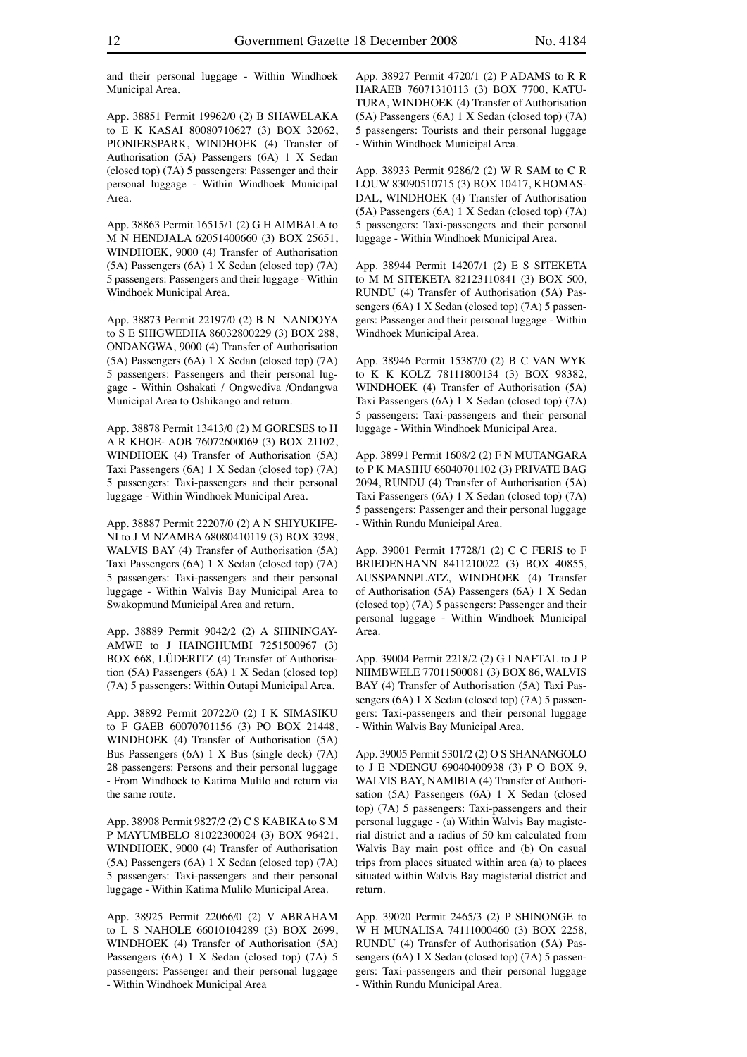and their personal luggage - Within Windhoek Municipal Area.

App. 38851 Permit 19962/0 (2) B SHAWELAKA to E K KASAI 80080710627 (3) BOX 32062, PIONIERSPARK, WINDHOEK (4) Transfer of Authorisation (5A) Passengers (6A) 1 X Sedan (closed top) (7A) 5 passengers: Passenger and their personal luggage - Within Windhoek Municipal Area.

App. 38863 Permit 16515/1 (2) G H AIMBALA to M N HENDJALA 62051400660 (3) BOX 25651, WINDHOEK, 9000 (4) Transfer of Authorisation (5A) Passengers (6A) 1 X Sedan (closed top) (7A) 5 passengers: Passengers and their luggage - Within Windhoek Municipal Area.

App. 38873 Permit 22197/0 (2) B N NANDOYA to S E SHIGWEDHA 86032800229 (3) BOX 288, ONDANGWA, 9000 (4) Transfer of Authorisation (5A) Passengers (6A) 1 X Sedan (closed top) (7A) 5 passengers: Passengers and their personal luggage - Within Oshakati / Ongwediva /Ondangwa Municipal Area to Oshikango and return.

App. 38878 Permit 13413/0 (2) M GORESES to H A R KHOE- AOB 76072600069 (3) BOX 21102, WINDHOEK (4) Transfer of Authorisation (5A) Taxi Passengers (6A) 1 X Sedan (closed top) (7A) 5 passengers: Taxi-passengers and their personal luggage - Within Windhoek Municipal Area.

App. 38887 Permit 22207/0 (2) A N SHIYUKIFE-NI to J M NZAMBA 68080410119 (3) BOX 3298, WALVIS BAY (4) Transfer of Authorisation (5A) Taxi Passengers (6A) 1 X Sedan (closed top) (7A) 5 passengers: Taxi-passengers and their personal luggage - Within Walvis Bay Municipal Area to Swakopmund Municipal Area and return.

App. 38889 Permit 9042/2 (2) A SHININGAY-AMWE to J HAINGHUMBI 7251500967 (3) BOX 668, LÜDERITZ (4) Transfer of Authorisation (5A) Passengers (6A) 1 X Sedan (closed top) (7A) 5 passengers: Within Outapi Municipal Area.

App. 38892 Permit 20722/0 (2) I K SIMASIKU to F GAEB 60070701156 (3) PO BOX 21448, WINDHOEK (4) Transfer of Authorisation (5A) Bus Passengers (6A) 1 X Bus (single deck) (7A) 28 passengers: Persons and their personal luggage - From Windhoek to Katima Mulilo and return via the same route.

App. 38908 Permit 9827/2 (2) C S KABIKA to S M P MAYUMBELO 81022300024 (3) BOX 96421, WINDHOEK, 9000 (4) Transfer of Authorisation (5A) Passengers (6A) 1 X Sedan (closed top) (7A) 5 passengers: Taxi-passengers and their personal luggage - Within Katima Mulilo Municipal Area.

App. 38925 Permit 22066/0 (2) V ABRAHAM to L S NAHOLE 66010104289 (3) BOX 2699, WINDHOEK (4) Transfer of Authorisation (5A) Passengers (6A) 1 X Sedan (closed top) (7A) 5 passengers: Passenger and their personal luggage - Within Windhoek Municipal Area

App. 38927 Permit 4720/1 (2) P ADAMS to R R HARAEB 76071310113 (3) BOX 7700, KATU-TURA, WINDHOEK (4) Transfer of Authorisation (5A) Passengers (6A) 1 X Sedan (closed top) (7A) 5 passengers: Tourists and their personal luggage - Within Windhoek Municipal Area.

App. 38933 Permit 9286/2 (2) W R SAM to C R LOUW 83090510715 (3) BOX 10417, KHOMAS-DAL, WINDHOEK (4) Transfer of Authorisation (5A) Passengers (6A) 1 X Sedan (closed top) (7A) 5 passengers: Taxi-passengers and their personal luggage - Within Windhoek Municipal Area.

App. 38944 Permit 14207/1 (2) E S SITEKETA to M M SITEKETA 82123110841 (3) BOX 500, RUNDU (4) Transfer of Authorisation (5A) Passengers (6A) 1 X Sedan (closed top) (7A) 5 passengers: Passenger and their personal luggage - Within Windhoek Municipal Area.

App. 38946 Permit 15387/0 (2) B C VAN WYK to K K KOLZ 78111800134 (3) BOX 98382, WINDHOEK (4) Transfer of Authorisation (5A) Taxi Passengers (6A) 1 X Sedan (closed top) (7A) 5 passengers: Taxi-passengers and their personal luggage - Within Windhoek Municipal Area.

App. 38991 Permit 1608/2 (2) F N MUTANGARA to P K MASIHU 66040701102 (3) PRIVATE BAG 2094, RUNDU (4) Transfer of Authorisation (5A) Taxi Passengers (6A) 1 X Sedan (closed top) (7A) 5 passengers: Passenger and their personal luggage - Within Rundu Municipal Area.

App. 39001 Permit 17728/1 (2) C C FERIS to F BRIEDENHANN 8411210022 (3) BOX 40855, AUSSPANNPLATZ, WINDHOEK (4) Transfer of Authorisation (5A) Passengers (6A) 1 X Sedan (closed top) (7A) 5 passengers: Passenger and their personal luggage - Within Windhoek Municipal Area.

App. 39004 Permit 2218/2 (2) G I NAFTAL to J P NIIMBWELE 77011500081 (3) BOX 86, WALVIS BAY (4) Transfer of Authorisation (5A) Taxi Passengers (6A) 1 X Sedan (closed top) (7A) 5 passengers: Taxi-passengers and their personal luggage - Within Walvis Bay Municipal Area.

App. 39005 Permit 5301/2 (2) O S SHANANGOLO to J E NDENGU 69040400938 (3) P O BOX 9, WALVIS BAY, NAMIBIA (4) Transfer of Authorisation (5A) Passengers (6A) 1 X Sedan (closed top) (7A) 5 passengers: Taxi-passengers and their personal luggage - (a) Within Walvis Bay magisterial district and a radius of 50 km calculated from Walvis Bay main post office and (b) On casual trips from places situated within area (a) to places situated within Walvis Bay magisterial district and return.

App. 39020 Permit 2465/3 (2) P SHINONGE to W H MUNALISA 74111000460 (3) BOX 2258, RUNDU (4) Transfer of Authorisation (5A) Passengers (6A) 1 X Sedan (closed top) (7A) 5 passengers: Taxi-passengers and their personal luggage - Within Rundu Municipal Area.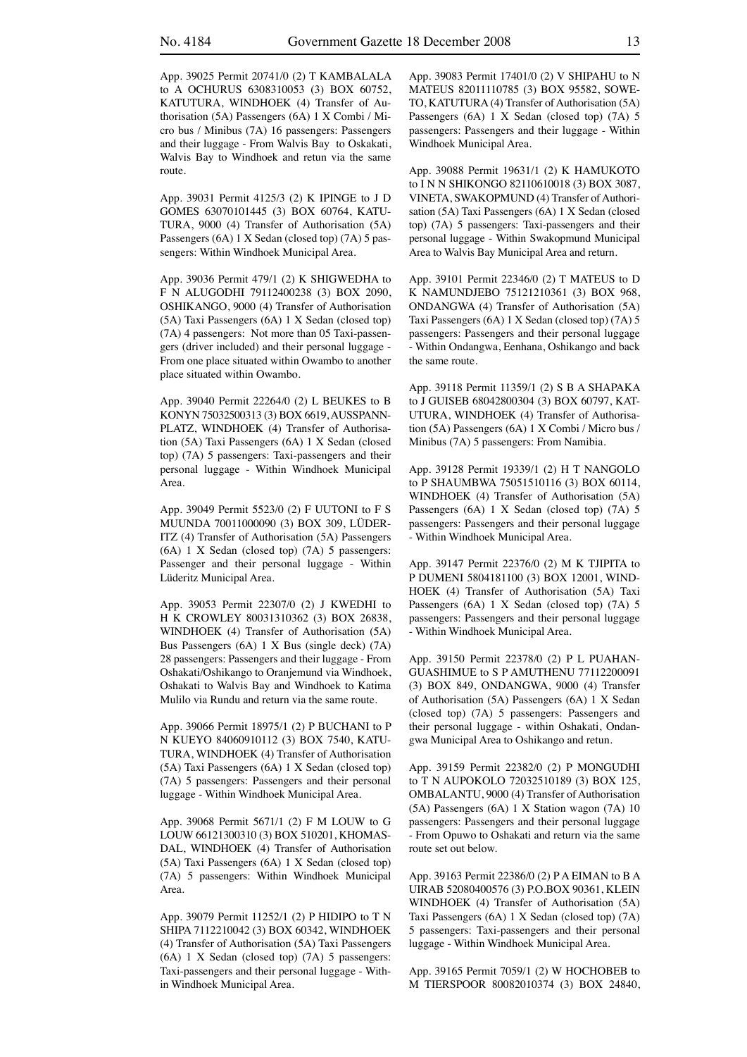App. 39025 Permit 20741/0 (2) T KAMBALALA to A OCHURUS 6308310053 (3) BOX 60752, KATUTURA, WINDHOEK (4) Transfer of Authorisation (5A) Passengers (6A) 1 X Combi / Micro bus / Minibus (7A) 16 passengers: Passengers and their luggage - From Walvis Bay to Oskakati, Walvis Bay to Windhoek and retun via the same route.

App. 39031 Permit 4125/3 (2) K IPINGE to J D GOMES 63070101445 (3) BOX 60764, KATU-TURA, 9000 (4) Transfer of Authorisation (5A) Passengers (6A) 1 X Sedan (closed top) (7A) 5 passengers: Within Windhoek Municipal Area.

App. 39036 Permit 479/1 (2) K SHIGWEDHA to F N ALUGODHI 79112400238 (3) BOX 2090, OSHIKANGO, 9000 (4) Transfer of Authorisation (5A) Taxi Passengers (6A) 1 X Sedan (closed top) (7A) 4 passengers: Not more than 05 Taxi-passengers (driver included) and their personal luggage - From one place situated within Owambo to another place situated within Owambo.

App. 39040 Permit 22264/0 (2) L BEUKES to B KONYN 75032500313 (3) BOX 6619, AUSSPANN-PLATZ, WINDHOEK (4) Transfer of Authorisation (5A) Taxi Passengers (6A) 1 X Sedan (closed top) (7A) 5 passengers: Taxi-passengers and their personal luggage - Within Windhoek Municipal Area.

App. 39049 Permit 5523/0 (2) F UUTONI to F S MUUNDA 70011000090 (3) BOX 309, LÜDER-ITZ (4) Transfer of Authorisation (5A) Passengers (6A) 1 X Sedan (closed top) (7A) 5 passengers: Passenger and their personal luggage - Within Lüderitz Municipal Area.

App. 39053 Permit 22307/0 (2) J KWEDHI to H K CROWLEY 80031310362 (3) BOX 26838, WINDHOEK (4) Transfer of Authorisation (5A) Bus Passengers (6A) 1 X Bus (single deck) (7A) 28 passengers: Passengers and their luggage - From Oshakati/Oshikango to Oranjemund via Windhoek, Oshakati to Walvis Bay and Windhoek to Katima Mulilo via Rundu and return via the same route.

App. 39066 Permit 18975/1 (2) P BUCHANI to P N KUEYO 84060910112 (3) BOX 7540, KATU-TURA, WINDHOEK (4) Transfer of Authorisation (5A) Taxi Passengers (6A) 1 X Sedan (closed top) (7A) 5 passengers: Passengers and their personal luggage - Within Windhoek Municipal Area.

App. 39068 Permit 5671/1 (2) F M LOUW to G LOUW 66121300310 (3) BOX 510201, KHOMAS-DAL, WINDHOEK (4) Transfer of Authorisation (5A) Taxi Passengers (6A) 1 X Sedan (closed top) (7A) 5 passengers: Within Windhoek Municipal Area.

App. 39079 Permit 11252/1 (2) P HIDIPO to T N SHIPA 7112210042 (3) BOX 60342, WINDHOEK (4) Transfer of Authorisation (5A) Taxi Passengers (6A) 1 X Sedan (closed top) (7A) 5 passengers: Taxi-passengers and their personal luggage - Within Windhoek Municipal Area.

App. 39083 Permit 17401/0 (2) V SHIPAHU to N MATEUS 82011110785 (3) BOX 95582, SOWE-TO, KATUTURA (4) Transfer of Authorisation (5A) Passengers (6A) 1 X Sedan (closed top) (7A) 5 passengers: Passengers and their luggage - Within Windhoek Municipal Area.

App. 39088 Permit 19631/1 (2) K HAMUKOTO to I N N SHIKONGO 82110610018 (3) BOX 3087, VINETA, SWAKOPMUND (4) Transfer of Authorisation (5A) Taxi Passengers (6A) 1 X Sedan (closed top) (7A) 5 passengers: Taxi-passengers and their personal luggage - Within Swakopmund Municipal Area to Walvis Bay Municipal Area and return.

App. 39101 Permit 22346/0 (2) T MATEUS to D K NAMUNDJEBO 75121210361 (3) BOX 968, ONDANGWA (4) Transfer of Authorisation (5A) Taxi Passengers (6A) 1 X Sedan (closed top) (7A) 5 passengers: Passengers and their personal luggage - Within Ondangwa, Eenhana, Oshikango and back the same route.

App. 39118 Permit 11359/1 (2) S B A SHAPAKA to J GUISEB 68042800304 (3) BOX 60797, KAT-UTURA, WINDHOEK (4) Transfer of Authorisation (5A) Passengers (6A) 1 X Combi / Micro bus / Minibus (7A) 5 passengers: From Namibia.

App. 39128 Permit 19339/1 (2) H T NANGOLO to P SHAUMBWA 75051510116 (3) BOX 60114, WINDHOEK (4) Transfer of Authorisation (5A) Passengers (6A) 1 X Sedan (closed top) (7A) 5 passengers: Passengers and their personal luggage - Within Windhoek Municipal Area.

App. 39147 Permit 22376/0 (2) M K TJIPITA to P DUMENI 5804181100 (3) BOX 12001, WIND-HOEK (4) Transfer of Authorisation (5A) Taxi Passengers (6A) 1 X Sedan (closed top) (7A) 5 passengers: Passengers and their personal luggage - Within Windhoek Municipal Area.

App. 39150 Permit 22378/0 (2) P L PUAHAN-GUASHIMUE to S P AMUTHENU 77112200091 (3) BOX 849, ONDANGWA, 9000 (4) Transfer of Authorisation (5A) Passengers (6A) 1 X Sedan (closed top) (7A) 5 passengers: Passengers and their personal luggage - within Oshakati, Ondangwa Municipal Area to Oshikango and retun.

App. 39159 Permit 22382/0 (2) P MONGUDHI to T N AUPOKOLO 72032510189 (3) BOX 125, OMBALANTU, 9000 (4) Transfer of Authorisation (5A) Passengers (6A) 1 X Station wagon (7A) 10 passengers: Passengers and their personal luggage - From Opuwo to Oshakati and return via the same route set out below.

App. 39163 Permit 22386/0 (2) P A EIMAN to B A UIRAB 52080400576 (3) P.O.BOX 90361, KLEIN WINDHOEK (4) Transfer of Authorisation (5A) Taxi Passengers (6A) 1 X Sedan (closed top) (7A) 5 passengers: Taxi-passengers and their personal luggage - Within Windhoek Municipal Area.

App. 39165 Permit 7059/1 (2) W HOCHOBEB to M TIERSPOOR 80082010374 (3) BOX 24840,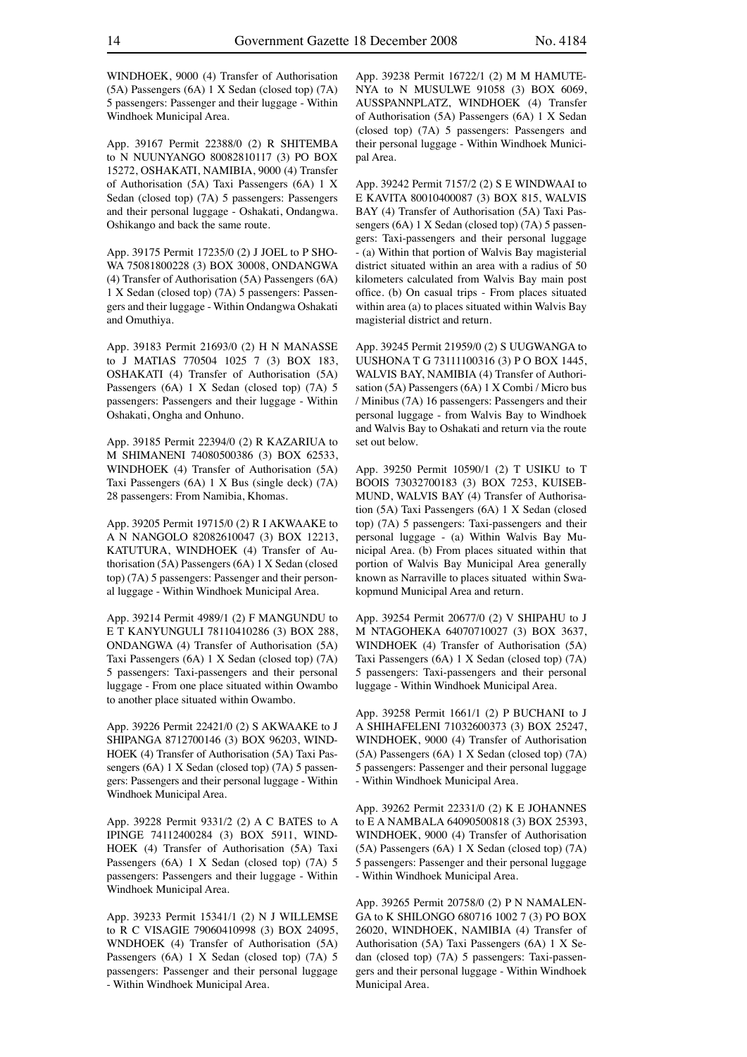WINDHOEK, 9000 (4) Transfer of Authorisation (5A) Passengers (6A) 1 X Sedan (closed top) (7A) 5 passengers: Passenger and their luggage - Within Windhoek Municipal Area.

App. 39167 Permit 22388/0 (2) R SHITEMBA to N NUUNYANGO 80082810117 (3) PO BOX 15272, OSHAKATI, NAMIBIA, 9000 (4) Transfer of Authorisation (5A) Taxi Passengers (6A) 1 X Sedan (closed top) (7A) 5 passengers: Passengers and their personal luggage - Oshakati, Ondangwa. Oshikango and back the same route.

App. 39175 Permit 17235/0 (2) J JOEL to P SHO-WA 75081800228 (3) BOX 30008, ONDANGWA (4) Transfer of Authorisation (5A) Passengers (6A) 1 X Sedan (closed top) (7A) 5 passengers: Passengers and their luggage - Within Ondangwa Oshakati and Omuthiya.

App. 39183 Permit 21693/0 (2) H N MANASSE to J MATIAS 770504 1025 7 (3) BOX 183, OSHAKATI (4) Transfer of Authorisation (5A) Passengers (6A) 1 X Sedan (closed top) (7A) 5 passengers: Passengers and their luggage - Within Oshakati, Ongha and Onhuno.

App. 39185 Permit 22394/0 (2) R KAZARIUA to M SHIMANENI 74080500386 (3) BOX 62533, WINDHOEK (4) Transfer of Authorisation (5A) Taxi Passengers (6A) 1 X Bus (single deck) (7A) 28 passengers: From Namibia, Khomas.

App. 39205 Permit 19715/0 (2) R I AKWAAKE to A N NANGOLO 82082610047 (3) BOX 12213, KATUTURA, WINDHOEK (4) Transfer of Authorisation (5A) Passengers (6A) 1 X Sedan (closed top) (7A) 5 passengers: Passenger and their personal luggage - Within Windhoek Municipal Area.

App. 39214 Permit 4989/1 (2) F MANGUNDU to E T KANYUNGULI 78110410286 (3) BOX 288, ONDANGWA (4) Transfer of Authorisation (5A) Taxi Passengers (6A) 1 X Sedan (closed top) (7A) 5 passengers: Taxi-passengers and their personal luggage - From one place situated within Owambo to another place situated within Owambo.

App. 39226 Permit 22421/0 (2) S AKWAAKE to J SHIPANGA 8712700146 (3) BOX 96203, WIND-HOEK (4) Transfer of Authorisation (5A) Taxi Passengers (6A) 1 X Sedan (closed top) (7A) 5 passengers: Passengers and their personal luggage - Within Windhoek Municipal Area.

App. 39228 Permit 9331/2 (2) A C BATES to A IPINGE 74112400284 (3) BOX 5911, WIND-HOEK (4) Transfer of Authorisation (5A) Taxi Passengers (6A) 1 X Sedan (closed top) (7A) 5 passengers: Passengers and their luggage - Within Windhoek Municipal Area.

App. 39233 Permit 15341/1 (2) N J WILLEMSE to R C VISAGIE 79060410998 (3) BOX 24095, WNDHOEK (4) Transfer of Authorisation (5A) Passengers (6A) 1 X Sedan (closed top) (7A) 5 passengers: Passenger and their personal luggage - Within Windhoek Municipal Area.

App. 39238 Permit 16722/1 (2) M M HAMUTE-NYA to N MUSULWE 91058 (3) BOX 6069, AUSSPANNPLATZ, WINDHOEK (4) Transfer of Authorisation (5A) Passengers (6A) 1 X Sedan (closed top) (7A) 5 passengers: Passengers and their personal luggage - Within Windhoek Municipal Area.

App. 39242 Permit 7157/2 (2) S E WINDWAAI to E KAVITA 80010400087 (3) BOX 815, WALVIS BAY (4) Transfer of Authorisation (5A) Taxi Passengers (6A) 1 X Sedan (closed top) (7A) 5 passengers: Taxi-passengers and their personal luggage - (a) Within that portion of Walvis Bay magisterial district situated within an area with a radius of 50 kilometers calculated from Walvis Bay main post office. (b) On casual trips - From places situated within area (a) to places situated within Walvis Bay magisterial district and return.

App. 39245 Permit 21959/0 (2) S UUGWANGA to UUSHONA T G 73111100316 (3) P O BOX 1445, WALVIS BAY, NAMIBIA (4) Transfer of Authorisation (5A) Passengers (6A) 1 X Combi / Micro bus / Minibus (7A) 16 passengers: Passengers and their personal luggage - from Walvis Bay to Windhoek and Walvis Bay to Oshakati and return via the route set out below.

App. 39250 Permit 10590/1 (2) T USIKU to T BOOIS 73032700183 (3) BOX 7253, KUISEB-MUND, WALVIS BAY (4) Transfer of Authorisation (5A) Taxi Passengers (6A) 1 X Sedan (closed top) (7A) 5 passengers: Taxi-passengers and their personal luggage - (a) Within Walvis Bay Municipal Area. (b) From places situated within that portion of Walvis Bay Municipal Area generally known as Narraville to places situated within Swakopmund Municipal Area and return.

App. 39254 Permit 20677/0 (2) V SHIPAHU to J M NTAGOHEKA 64070710027 (3) BOX 3637, WINDHOEK (4) Transfer of Authorisation (5A) Taxi Passengers (6A) 1 X Sedan (closed top) (7A) 5 passengers: Taxi-passengers and their personal luggage - Within Windhoek Municipal Area.

App. 39258 Permit 1661/1 (2) P BUCHANI to J A SHIHAFELENI 71032600373 (3) BOX 25247, WINDHOEK, 9000 (4) Transfer of Authorisation (5A) Passengers (6A) 1 X Sedan (closed top) (7A) 5 passengers: Passenger and their personal luggage - Within Windhoek Municipal Area.

App. 39262 Permit 22331/0 (2) K E JOHANNES to E A NAMBALA 64090500818 (3) BOX 25393, WINDHOEK, 9000 (4) Transfer of Authorisation (5A) Passengers (6A) 1 X Sedan (closed top) (7A) 5 passengers: Passenger and their personal luggage - Within Windhoek Municipal Area.

App. 39265 Permit 20758/0 (2) P N NAMALEN-GA to K SHILONGO 680716 1002 7 (3) PO BOX 26020, WINDHOEK, NAMIBIA (4) Transfer of Authorisation (5A) Taxi Passengers (6A) 1 X Sedan (closed top) (7A) 5 passengers: Taxi-passengers and their personal luggage - Within Windhoek Municipal Area.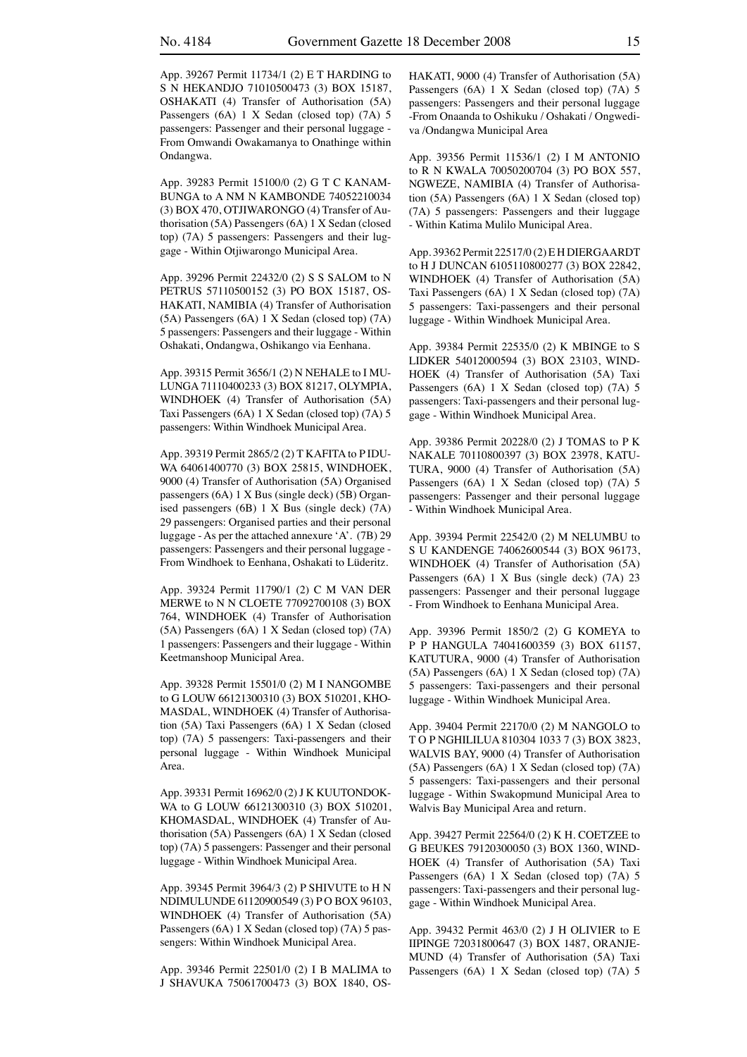App. 39267 Permit 11734/1 (2) E T HARDING to S N HEKANDJO 71010500473 (3) BOX 15187, OSHAKATI (4) Transfer of Authorisation (5A) Passengers (6A) 1 X Sedan (closed top) (7A) 5 passengers: Passenger and their personal luggage - From Omwandi Owakamanya to Onathinge within Ondangwa.

App. 39283 Permit 15100/0 (2) G T C KANAM-BUNGA to A NM N KAMBONDE 74052210034 (3) BOX 470, OTJIWARONGO (4) Transfer of Authorisation (5A) Passengers (6A) 1 X Sedan (closed top) (7A) 5 passengers: Passengers and their luggage - Within Otjiwarongo Municipal Area.

App. 39296 Permit 22432/0 (2) S S SALOM to N PETRUS 57110500152 (3) PO BOX 15187, OS-HAKATI, NAMIBIA (4) Transfer of Authorisation (5A) Passengers (6A) 1 X Sedan (closed top) (7A) 5 passengers: Passengers and their luggage - Within Oshakati, Ondangwa, Oshikango via Eenhana.

App. 39315 Permit 3656/1 (2) N NEHALE to I MU-LUNGA 71110400233 (3) BOX 81217, OLYMPIA, WINDHOEK (4) Transfer of Authorisation (5A) Taxi Passengers (6A) 1 X Sedan (closed top) (7A) 5 passengers: Within Windhoek Municipal Area.

App. 39319 Permit 2865/2 (2) T KAFITA to P IDU-WA 64061400770 (3) BOX 25815, WINDHOEK, 9000 (4) Transfer of Authorisation (5A) Organised passengers (6A) 1 X Bus (single deck) (5B) Organised passengers (6B) 1 X Bus (single deck) (7A) 29 passengers: Organised parties and their personal luggage - As per the attached annexure 'A'. (7B) 29 passengers: Passengers and their personal luggage - From Windhoek to Eenhana, Oshakati to Lüderitz.

App. 39324 Permit 11790/1 (2) C M VAN DER MERWE to N N CLOETE 77092700108 (3) BOX 764, WINDHOEK (4) Transfer of Authorisation (5A) Passengers (6A) 1 X Sedan (closed top) (7A) 1 passengers: Passengers and their luggage - Within Keetmanshoop Municipal Area.

App. 39328 Permit 15501/0 (2) M I NANGOMBE to G LOUW 66121300310 (3) BOX 510201, KHO-MASDAL, WINDHOEK (4) Transfer of Authorisation (5A) Taxi Passengers (6A) 1 X Sedan (closed top) (7A) 5 passengers: Taxi-passengers and their personal luggage - Within Windhoek Municipal Area.

App. 39331 Permit 16962/0 (2) J K KUUTONDOK-WA to G LOUW 66121300310 (3) BOX 510201, KHOMASDAL, WINDHOEK (4) Transfer of Authorisation (5A) Passengers (6A) 1 X Sedan (closed top) (7A) 5 passengers: Passenger and their personal luggage - Within Windhoek Municipal Area.

App. 39345 Permit 3964/3 (2) P SHIVUTE to H N NDIMULUNDE 61120900549 (3) P O BOX 96103, WINDHOEK (4) Transfer of Authorisation (5A) Passengers (6A) 1 X Sedan (closed top) (7A) 5 passengers: Within Windhoek Municipal Area.

App. 39346 Permit 22501/0 (2) I B MALIMA to J SHAVUKA 75061700473 (3) BOX 1840, OS-

HAKATI, 9000 (4) Transfer of Authorisation (5A) Passengers (6A) 1 X Sedan (closed top) (7A) 5 passengers: Passengers and their personal luggage -From Onaanda to Oshikuku / Oshakati / Ongwediva /Ondangwa Municipal Area

App. 39356 Permit 11536/1 (2) I M ANTONIO to R N KWALA 70050200704 (3) PO BOX 557, NGWEZE, NAMIBIA (4) Transfer of Authorisation (5A) Passengers (6A) 1 X Sedan (closed top) (7A) 5 passengers: Passengers and their luggage - Within Katima Mulilo Municipal Area.

App. 39362 Permit 22517/0 (2) E H DIERGAARDT to H J DUNCAN 6105110800277 (3) BOX 22842, WINDHOEK (4) Transfer of Authorisation (5A) Taxi Passengers (6A) 1 X Sedan (closed top) (7A) 5 passengers: Taxi-passengers and their personal luggage - Within Windhoek Municipal Area.

App. 39384 Permit 22535/0 (2) K MBINGE to S LIDKER 54012000594 (3) BOX 23103, WIND-HOEK (4) Transfer of Authorisation (5A) Taxi Passengers (6A) 1 X Sedan (closed top) (7A) 5 passengers: Taxi-passengers and their personal luggage - Within Windhoek Municipal Area.

App. 39386 Permit 20228/0 (2) J TOMAS to P K NAKALE 70110800397 (3) BOX 23978, KATU-TURA, 9000 (4) Transfer of Authorisation (5A) Passengers (6A) 1 X Sedan (closed top) (7A) 5 passengers: Passenger and their personal luggage - Within Windhoek Municipal Area.

App. 39394 Permit 22542/0 (2) M NELUMBU to S U KANDENGE 74062600544 (3) BOX 96173, WINDHOEK (4) Transfer of Authorisation (5A) Passengers (6A) 1 X Bus (single deck) (7A) 23 passengers: Passenger and their personal luggage - From Windhoek to Eenhana Municipal Area.

App. 39396 Permit 1850/2 (2) G KOMEYA to P P HANGULA 74041600359 (3) BOX 61157, KATUTURA, 9000 (4) Transfer of Authorisation (5A) Passengers (6A) 1 X Sedan (closed top) (7A) 5 passengers: Taxi-passengers and their personal luggage - Within Windhoek Municipal Area.

App. 39404 Permit 22170/0 (2) M NANGOLO to T O P NGHILILUA 810304 1033 7 (3) BOX 3823, WALVIS BAY, 9000 (4) Transfer of Authorisation (5A) Passengers (6A) 1 X Sedan (closed top) (7A) 5 passengers: Taxi-passengers and their personal luggage - Within Swakopmund Municipal Area to Walvis Bay Municipal Area and return.

App. 39427 Permit 22564/0 (2) K H. COETZEE to G BEUKES 79120300050 (3) BOX 1360, WIND-HOEK (4) Transfer of Authorisation (5A) Taxi Passengers (6A) 1 X Sedan (closed top) (7A) 5 passengers: Taxi-passengers and their personal luggage - Within Windhoek Municipal Area.

App. 39432 Permit 463/0 (2) J H OLIVIER to E IIPINGE 72031800647 (3) BOX 1487, ORANJE-MUND (4) Transfer of Authorisation (5A) Taxi Passengers (6A) 1 X Sedan (closed top) (7A) 5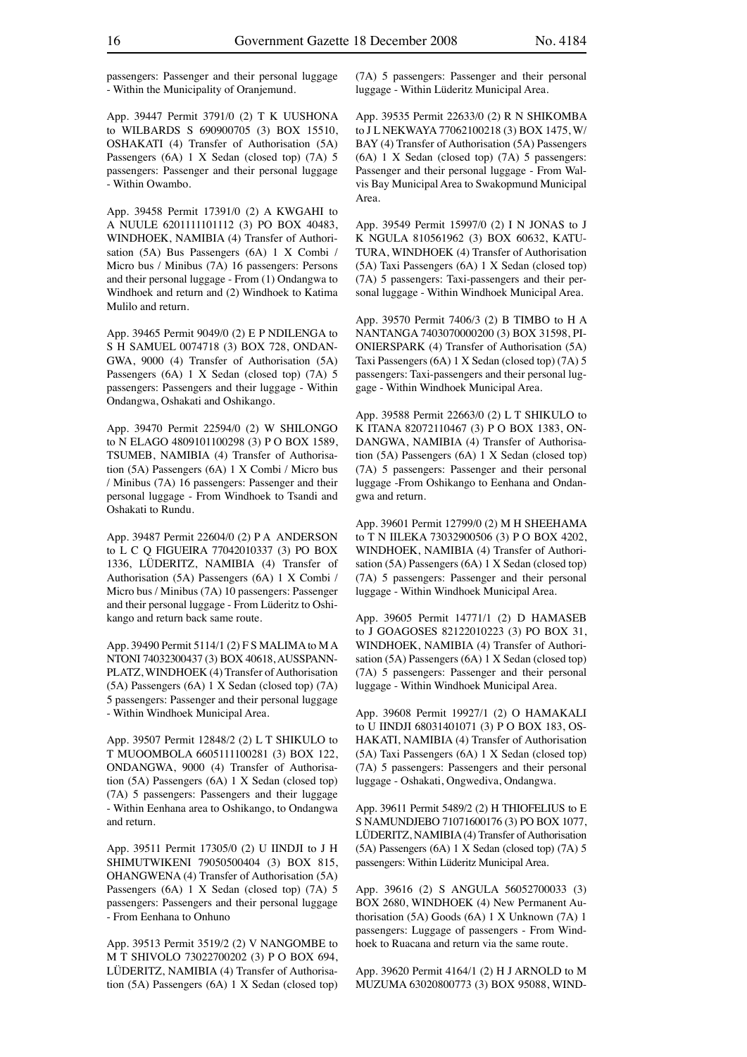passengers: Passenger and their personal luggage - Within the Municipality of Oranjemund.

App. 39447 Permit 3791/0 (2) T K UUSHONA to WILBARDS S 690900705 (3) BOX 15510, OSHAKATI (4) Transfer of Authorisation (5A) Passengers (6A) 1 X Sedan (closed top) (7A) 5 passengers: Passenger and their personal luggage - Within Owambo.

App. 39458 Permit 17391/0 (2) A KWGAHI to A NUULE 6201111101112 (3) PO BOX 40483, WINDHOEK, NAMIBIA (4) Transfer of Authorisation (5A) Bus Passengers (6A) 1 X Combi / Micro bus / Minibus (7A) 16 passengers: Persons and their personal luggage - From (1) Ondangwa to Windhoek and return and (2) Windhoek to Katima Mulilo and return.

App. 39465 Permit 9049/0 (2) E P NDILENGA to S H SAMUEL 0074718 (3) BOX 728, ONDAN-GWA, 9000 (4) Transfer of Authorisation (5A) Passengers (6A) 1 X Sedan (closed top) (7A) 5 passengers: Passengers and their luggage - Within Ondangwa, Oshakati and Oshikango.

App. 39470 Permit 22594/0 (2) W SHILONGO to N ELAGO 4809101100298 (3) P O BOX 1589, TSUMEB, NAMIBIA (4) Transfer of Authorisation (5A) Passengers (6A) 1 X Combi / Micro bus / Minibus (7A) 16 passengers: Passenger and their personal luggage - From Windhoek to Tsandi and Oshakati to Rundu.

App. 39487 Permit 22604/0 (2) P A ANDERSON to L C Q FIGUEIRA 77042010337 (3) PO BOX 1336, LÜDERITZ, NAMIBIA (4) Transfer of Authorisation (5A) Passengers (6A) 1 X Combi / Micro bus / Minibus (7A) 10 passengers: Passenger and their personal luggage - From Lüderitz to Oshikango and return back same route.

App. 39490 Permit 5114/1 (2) F S MALIMA to M A NTONI 74032300437 (3) BOX 40618, AUSSPANN-PLATZ, WINDHOEK (4) Transfer of Authorisation (5A) Passengers (6A) 1 X Sedan (closed top) (7A) 5 passengers: Passenger and their personal luggage - Within Windhoek Municipal Area.

App. 39507 Permit 12848/2 (2) L T SHIKULO to T MUOOMBOLA 6605111100281 (3) BOX 122, ONDANGWA, 9000 (4) Transfer of Authorisation (5A) Passengers (6A) 1 X Sedan (closed top) (7A) 5 passengers: Passengers and their luggage - Within Eenhana area to Oshikango, to Ondangwa and return.

App. 39511 Permit 17305/0 (2) U IINDJI to J H SHIMUTWIKENI 79050500404 (3) BOX 815, OHANGWENA (4) Transfer of Authorisation (5A) Passengers (6A) 1 X Sedan (closed top) (7A) 5 passengers: Passengers and their personal luggage - From Eenhana to Onhuno

App. 39513 Permit 3519/2 (2) V NANGOMBE to M T SHIVOLO 73022700202 (3) P O BOX 694, LÜDERITZ, NAMIBIA (4) Transfer of Authorisation (5A) Passengers (6A) 1 X Sedan (closed top)

(7A) 5 passengers: Passenger and their personal luggage - Within Lüderitz Municipal Area.

App. 39535 Permit 22633/0 (2) R N SHIKOMBA to J L NEKWAYA 77062100218 (3) BOX 1475, W/ BAY (4) Transfer of Authorisation (5A) Passengers (6A) 1 X Sedan (closed top) (7A) 5 passengers: Passenger and their personal luggage - From Walvis Bay Municipal Area to Swakopmund Municipal Area.

App. 39549 Permit 15997/0 (2) I N JONAS to J K NGULA 810561962 (3) BOX 60632, KATU-TURA, WINDHOEK (4) Transfer of Authorisation (5A) Taxi Passengers (6A) 1 X Sedan (closed top) (7A) 5 passengers: Taxi-passengers and their personal luggage - Within Windhoek Municipal Area.

App. 39570 Permit 7406/3 (2) B TIMBO to H A NANTANGA 7403070000200 (3) BOX 31598, PI-ONIERSPARK (4) Transfer of Authorisation (5A) Taxi Passengers (6A) 1 X Sedan (closed top) (7A) 5 passengers: Taxi-passengers and their personal luggage - Within Windhoek Municipal Area.

App. 39588 Permit 22663/0 (2) L T SHIKULO to K ITANA 82072110467 (3) P O BOX 1383, ON-DANGWA, NAMIBIA (4) Transfer of Authorisation (5A) Passengers (6A) 1 X Sedan (closed top) (7A) 5 passengers: Passenger and their personal luggage -From Oshikango to Eenhana and Ondangwa and return.

App. 39601 Permit 12799/0 (2) M H SHEEHAMA to T N IILEKA 73032900506 (3) P O BOX 4202, WINDHOEK, NAMIBIA (4) Transfer of Authorisation (5A) Passengers (6A) 1 X Sedan (closed top) (7A) 5 passengers: Passenger and their personal luggage - Within Windhoek Municipal Area.

App. 39605 Permit 14771/1 (2) D HAMASEB to J GOAGOSES 82122010223 (3) PO BOX 31, WINDHOEK, NAMIBIA (4) Transfer of Authorisation (5A) Passengers (6A) 1 X Sedan (closed top) (7A) 5 passengers: Passenger and their personal luggage - Within Windhoek Municipal Area.

App. 39608 Permit 19927/1 (2) O HAMAKALI to U IINDJI 68031401071 (3) P O BOX 183, OS-HAKATI, NAMIBIA (4) Transfer of Authorisation (5A) Taxi Passengers (6A) 1 X Sedan (closed top) (7A) 5 passengers: Passengers and their personal luggage - Oshakati, Ongwediva, Ondangwa.

App. 39611 Permit 5489/2 (2) H THIOFELIUS to E S NAMUNDJEBO 71071600176 (3) PO BOX 1077, LÜDERITZ, NAMIBIA (4) Transfer of Authorisation (5A) Passengers (6A) 1 X Sedan (closed top) (7A) 5 passengers: Within Lüderitz Municipal Area.

App. 39616 (2) S ANGULA 56052700033 (3) BOX 2680, WINDHOEK (4) New Permanent Authorisation (5A) Goods (6A) 1 X Unknown (7A) 1 passengers: Luggage of passengers - From Windhoek to Ruacana and return via the same route.

App. 39620 Permit 4164/1 (2) H J ARNOLD to M MUZUMA 63020800773 (3) BOX 95088, WIND-